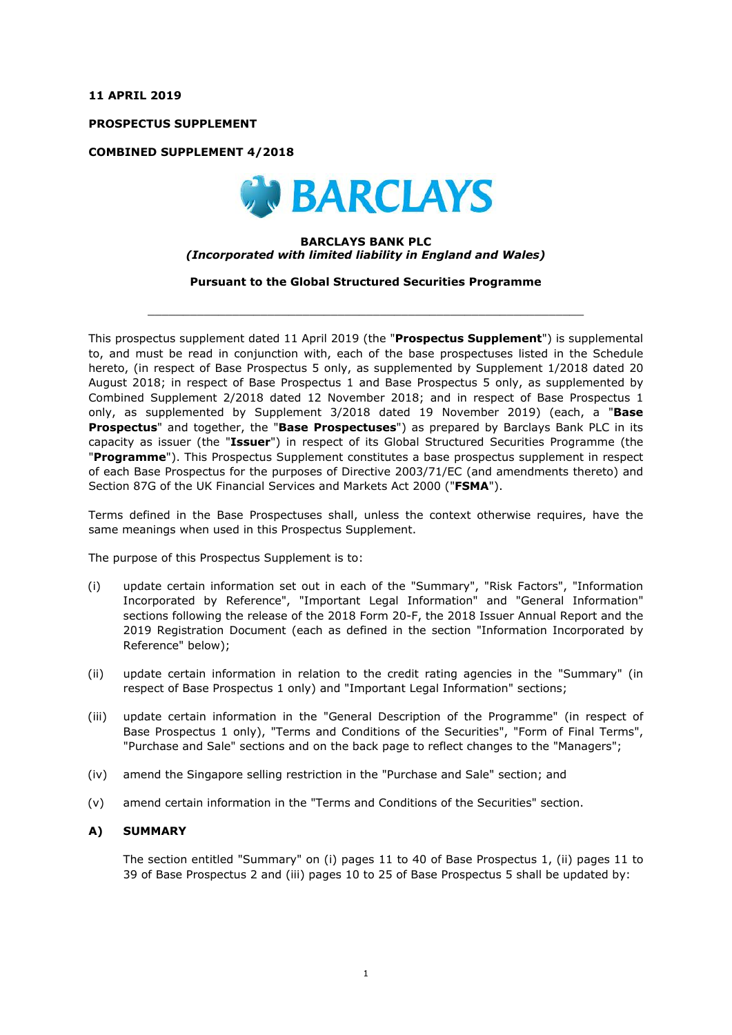**11 APRIL 2019**

**PROSPECTUS SUPPLEMENT**

**COMBINED SUPPLEMENT 4/2018**



#### **BARCLAYS BANK PLC** *(Incorporated with limited liability in England and Wales)*

**Pursuant to the Global Structured Securities Programme**

 $\_$  ,  $\_$  ,  $\_$  ,  $\_$  ,  $\_$  ,  $\_$  ,  $\_$  ,  $\_$  ,  $\_$  ,  $\_$  ,  $\_$  ,  $\_$  ,  $\_$  ,  $\_$  ,  $\_$  ,  $\_$  ,  $\_$  ,  $\_$  ,  $\_$  ,  $\_$  ,  $\_$  ,  $\_$  ,  $\_$  ,  $\_$  ,  $\_$  ,  $\_$  ,  $\_$  ,  $\_$  ,  $\_$  ,  $\_$  ,  $\_$  ,  $\_$  ,  $\_$  ,  $\_$  ,  $\_$  ,  $\_$  ,  $\_$  ,

This prospectus supplement dated 11 April 2019 (the "**Prospectus Supplement**") is supplemental to, and must be read in conjunction with, each of the base prospectuses listed in the Schedule hereto, (in respect of Base Prospectus 5 only, as supplemented by Supplement 1/2018 dated 20 August 2018; in respect of Base Prospectus 1 and Base Prospectus 5 only, as supplemented by Combined Supplement 2/2018 dated 12 November 2018; and in respect of Base Prospectus 1 only, as supplemented by Supplement 3/2018 dated 19 November 2019) (each, a "**Base Prospectus**" and together, the "**Base Prospectuses**") as prepared by Barclays Bank PLC in its capacity as issuer (the "**Issuer**") in respect of its Global Structured Securities Programme (the "**Programme**"). This Prospectus Supplement constitutes a base prospectus supplement in respect of each Base Prospectus for the purposes of Directive 2003/71/EC (and amendments thereto) and Section 87G of the UK Financial Services and Markets Act 2000 ("**FSMA**").

Terms defined in the Base Prospectuses shall, unless the context otherwise requires, have the same meanings when used in this Prospectus Supplement.

The purpose of this Prospectus Supplement is to:

- (i) update certain information set out in each of the "Summary", "Risk Factors", "Information Incorporated by Reference", "Important Legal Information" and "General Information" sections following the release of the 2018 Form 20-F, the 2018 Issuer Annual Report and the 2019 Registration Document (each as defined in the section "Information Incorporated by Reference" below);
- (ii) update certain information in relation to the credit rating agencies in the "Summary" (in respect of Base Prospectus 1 only) and "Important Legal Information" sections;
- (iii) update certain information in the "General Description of the Programme" (in respect of Base Prospectus 1 only), "Terms and Conditions of the Securities", "Form of Final Terms", "Purchase and Sale" sections and on the back page to reflect changes to the "Managers";
- (iv) amend the Singapore selling restriction in the "Purchase and Sale" section; and
- (v) amend certain information in the "Terms and Conditions of the Securities" section.

## **A) SUMMARY**

The section entitled "Summary" on (i) pages 11 to 40 of Base Prospectus 1, (ii) pages 11 to 39 of Base Prospectus 2 and (iii) pages 10 to 25 of Base Prospectus 5 shall be updated by: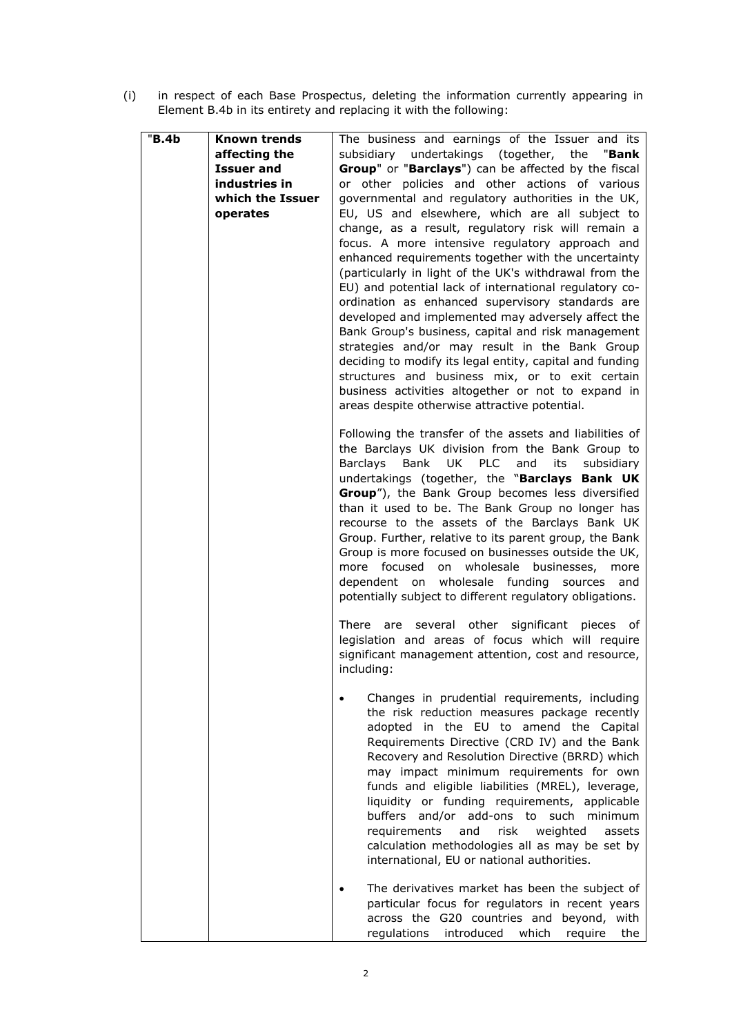(i) in respect of each Base Prospectus, deleting the information currently appearing in Element B.4b in its entirety and replacing it with the following:

| "B.4b | Known trends      | The business and earnings of the Issuer and its                                               |
|-------|-------------------|-----------------------------------------------------------------------------------------------|
|       | affecting the     | subsidiary undertakings (together, the<br>"Bank                                               |
|       | <b>Issuer and</b> | Group" or "Barclays") can be affected by the fiscal                                           |
|       | industries in     | or other policies and other actions of various                                                |
|       | which the Issuer  | governmental and regulatory authorities in the UK,                                            |
|       | operates          | EU, US and elsewhere, which are all subject to                                                |
|       |                   | change, as a result, regulatory risk will remain a                                            |
|       |                   | focus. A more intensive regulatory approach and                                               |
|       |                   | enhanced requirements together with the uncertainty                                           |
|       |                   | (particularly in light of the UK's withdrawal from the                                        |
|       |                   | EU) and potential lack of international regulatory co-                                        |
|       |                   | ordination as enhanced supervisory standards are                                              |
|       |                   | developed and implemented may adversely affect the                                            |
|       |                   | Bank Group's business, capital and risk management                                            |
|       |                   | strategies and/or may result in the Bank Group                                                |
|       |                   | deciding to modify its legal entity, capital and funding                                      |
|       |                   | structures and business mix, or to exit certain                                               |
|       |                   | business activities altogether or not to expand in                                            |
|       |                   | areas despite otherwise attractive potential.                                                 |
|       |                   | Following the transfer of the assets and liabilities of                                       |
|       |                   | the Barclays UK division from the Bank Group to                                               |
|       |                   | UK PLC<br><b>Barclays</b><br>Bank<br>and<br>its<br>subsidiary                                 |
|       |                   | undertakings (together, the "Barclays Bank UK                                                 |
|       |                   | Group"), the Bank Group becomes less diversified                                              |
|       |                   | than it used to be. The Bank Group no longer has                                              |
|       |                   | recourse to the assets of the Barclays Bank UK                                                |
|       |                   | Group. Further, relative to its parent group, the Bank                                        |
|       |                   | Group is more focused on businesses outside the UK,                                           |
|       |                   | on wholesale<br>more focused<br>businesses,<br>more                                           |
|       |                   | dependent on wholesale funding<br>sources<br>and                                              |
|       |                   | potentially subject to different regulatory obligations.                                      |
|       |                   | There are several other significant pieces of                                                 |
|       |                   | legislation and areas of focus which will require                                             |
|       |                   | significant management attention, cost and resource,                                          |
|       |                   | including:                                                                                    |
|       |                   |                                                                                               |
|       |                   | Changes in prudential requirements, including<br>the risk reduction measures package recently |
|       |                   | adopted in the EU to amend the Capital                                                        |
|       |                   | Requirements Directive (CRD IV) and the Bank                                                  |
|       |                   | Recovery and Resolution Directive (BRRD) which                                                |
|       |                   | may impact minimum requirements for own                                                       |
|       |                   | funds and eligible liabilities (MREL), leverage,                                              |
|       |                   | liquidity or funding requirements, applicable                                                 |
|       |                   | buffers and/or<br>add-ons to such minimum                                                     |
|       |                   | requirements<br>and<br>risk<br>weighted<br>assets                                             |
|       |                   | calculation methodologies all as may be set by                                                |
|       |                   | international, EU or national authorities.                                                    |
|       |                   | The derivatives market has been the subject of                                                |
|       |                   | particular focus for regulators in recent years                                               |
|       |                   | across the G20 countries and beyond, with                                                     |
|       |                   | regulations<br>introduced<br>which<br>require<br>the                                          |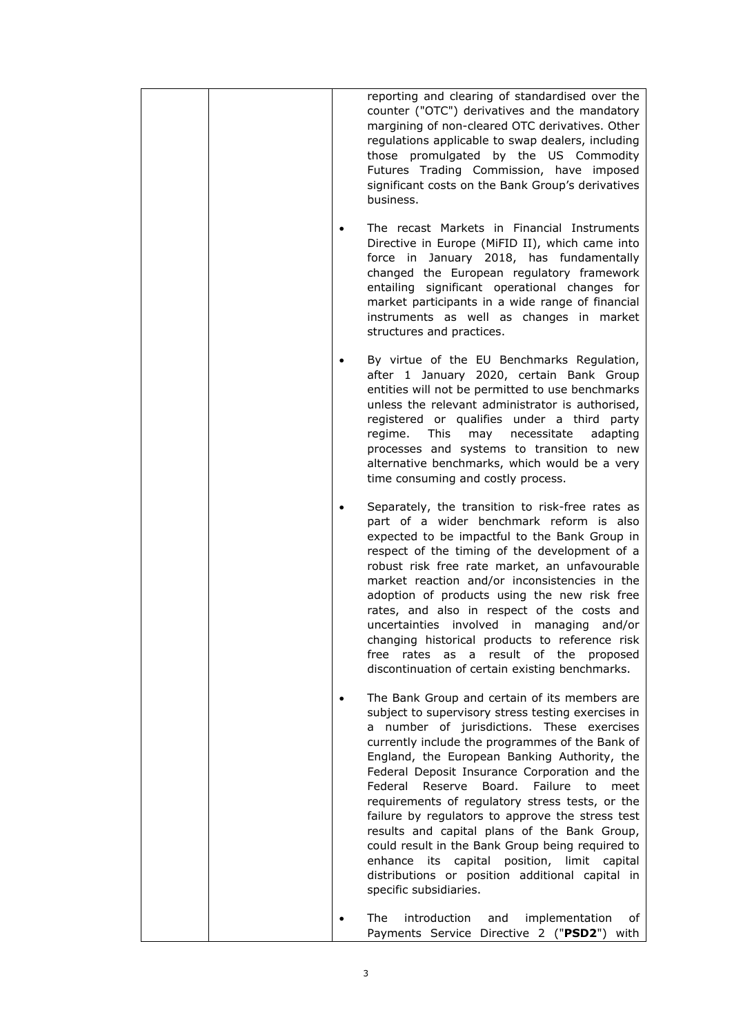|  |  | reporting and clearing of standardised over the<br>counter ("OTC") derivatives and the mandatory<br>margining of non-cleared OTC derivatives. Other<br>regulations applicable to swap dealers, including<br>those promulgated by the US Commodity<br>Futures Trading Commission, have imposed<br>significant costs on the Bank Group's derivatives<br>business.                                                                                                                                                                                                                                                                                                                                                         |
|--|--|-------------------------------------------------------------------------------------------------------------------------------------------------------------------------------------------------------------------------------------------------------------------------------------------------------------------------------------------------------------------------------------------------------------------------------------------------------------------------------------------------------------------------------------------------------------------------------------------------------------------------------------------------------------------------------------------------------------------------|
|  |  | The recast Markets in Financial Instruments<br>Directive in Europe (MiFID II), which came into<br>force in January 2018, has fundamentally<br>changed the European regulatory framework<br>entailing significant operational changes for<br>market participants in a wide range of financial<br>instruments as well as changes in market<br>structures and practices.                                                                                                                                                                                                                                                                                                                                                   |
|  |  | By virtue of the EU Benchmarks Regulation,<br>after 1 January 2020, certain Bank Group<br>entities will not be permitted to use benchmarks<br>unless the relevant administrator is authorised,<br>registered or qualifies under a third party<br>regime.<br>This<br>may<br>necessitate<br>adapting<br>processes and systems to transition to new<br>alternative benchmarks, which would be a very<br>time consuming and costly process.                                                                                                                                                                                                                                                                                 |
|  |  | Separately, the transition to risk-free rates as<br>part of a wider benchmark reform is also<br>expected to be impactful to the Bank Group in<br>respect of the timing of the development of a<br>robust risk free rate market, an unfavourable<br>market reaction and/or inconsistencies in the<br>adoption of products using the new risk free<br>rates, and also in respect of the costs and<br>uncertainties involved in managing<br>and/or<br>changing historical products to reference risk<br>result<br>of the<br>free<br>rates<br>as<br>a<br>proposed<br>discontinuation of certain existing benchmarks.                                                                                                        |
|  |  | The Bank Group and certain of its members are<br>subject to supervisory stress testing exercises in<br>number of jurisdictions.<br>These exercises<br>a<br>currently include the programmes of the Bank of<br>England, the European Banking Authority, the<br>Federal Deposit Insurance Corporation and the<br>Failure<br>Federal<br>Reserve<br>Board.<br>to<br>meet<br>requirements of regulatory stress tests, or the<br>failure by regulators to approve the stress test<br>results and capital plans of the Bank Group,<br>could result in the Bank Group being required to<br>position, limit<br>enhance<br>capital<br>capital<br>its<br>distributions or position additional capital in<br>specific subsidiaries. |
|  |  | The<br>introduction<br>and<br>implementation<br>of<br>Payments Service Directive 2 ("PSD2") with                                                                                                                                                                                                                                                                                                                                                                                                                                                                                                                                                                                                                        |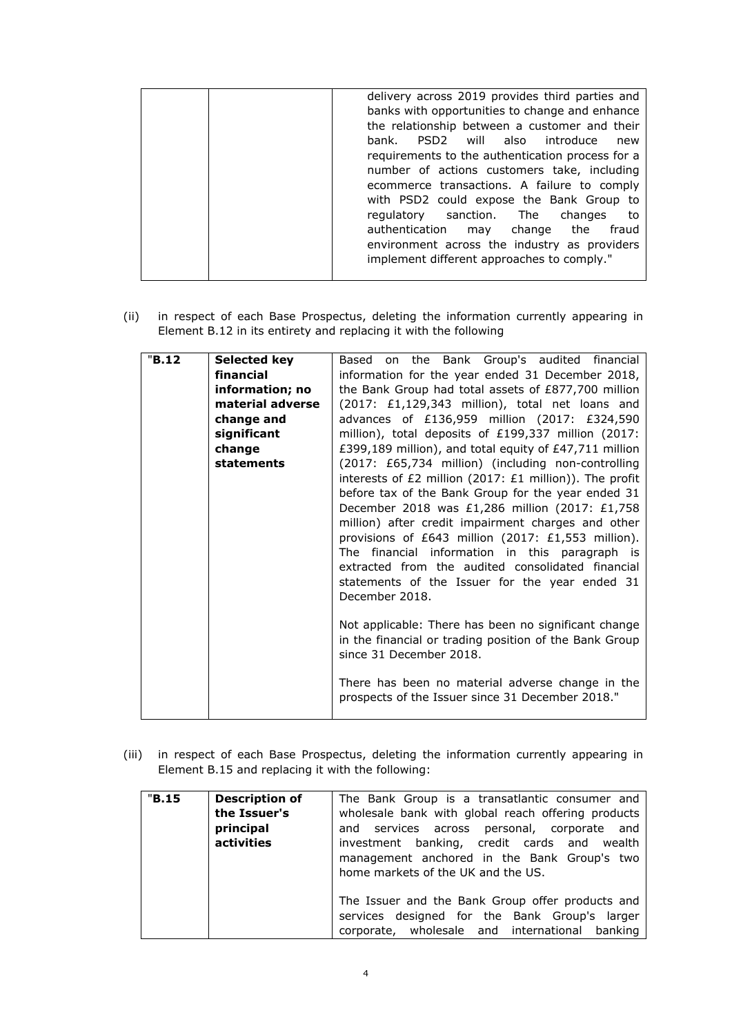| delivery across 2019 provides third parties and  |
|--------------------------------------------------|
|                                                  |
| banks with opportunities to change and enhance   |
| the relationship between a customer and their    |
| PSD2 will also introduce<br>bank.<br>new         |
| requirements to the authentication process for a |
| number of actions customers take, including      |
| ecommerce transactions. A failure to comply      |
| with PSD2 could expose the Bank Group to         |
| regulatory sanction. The<br>changes<br>to to     |
| authentication may change the<br>fraud           |
| environment across the industry as providers     |
| implement different approaches to comply."       |
|                                                  |

(ii) in respect of each Base Prospectus, deleting the information currently appearing in Element B.12 in its entirety and replacing it with the following

| "B.12"<br><b>Selected key</b><br>financial<br>change and<br>significant<br>change<br><b>statements</b> | information; no<br>material adverse | on the Bank Group's audited financial<br>Based<br>information for the year ended 31 December 2018,<br>the Bank Group had total assets of £877,700 million<br>(2017: £1,129,343 million), total net loans and<br>advances of £136,959 million (2017: £324,590<br>million), total deposits of £199,337 million (2017:<br>£399,189 million), and total equity of £47,711 million<br>(2017: £65,734 million) (including non-controlling<br>interests of £2 million (2017: £1 million)). The profit<br>before tax of the Bank Group for the year ended 31 |
|--------------------------------------------------------------------------------------------------------|-------------------------------------|------------------------------------------------------------------------------------------------------------------------------------------------------------------------------------------------------------------------------------------------------------------------------------------------------------------------------------------------------------------------------------------------------------------------------------------------------------------------------------------------------------------------------------------------------|
|                                                                                                        |                                     | million) after credit impairment charges and other<br>provisions of £643 million (2017: £1,553 million).<br>The financial information in this paragraph is<br>extracted from the audited consolidated financial<br>statements of the Issuer for the year ended 31<br>December 2018.<br>Not applicable: There has been no significant change<br>in the financial or trading position of the Bank Group<br>since 31 December 2018.<br>There has been no material adverse change in the<br>prospects of the Issuer since 31 December 2018."             |

(iii) in respect of each Base Prospectus, deleting the information currently appearing in Element B.15 and replacing it with the following:

| "B.15" | <b>Description of</b> | The Bank Group is a transatlantic consumer and     |
|--------|-----------------------|----------------------------------------------------|
|        | the Issuer's          | wholesale bank with global reach offering products |
|        | principal             | and services across personal, corporate and        |
|        | activities            | investment banking, credit cards and wealth        |
|        |                       | management anchored in the Bank Group's two        |
|        |                       | home markets of the UK and the US.                 |
|        |                       |                                                    |
|        |                       | The Issuer and the Bank Group offer products and   |
|        |                       | services designed for the Bank Group's larger      |
|        |                       | corporate, wholesale and international banking     |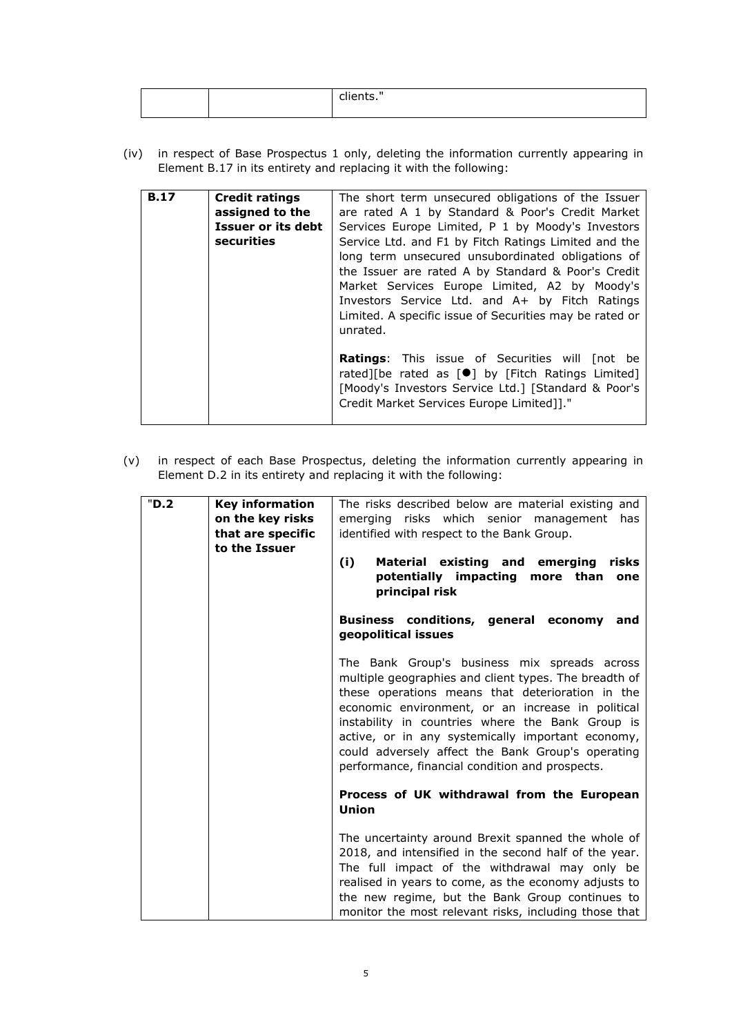|  | . ເວ. |
|--|-------|
|  |       |

(iv) in respect of Base Prospectus 1 only, deleting the information currently appearing in Element B.17 in its entirety and replacing it with the following:

| <b>B.17</b> | <b>Credit ratings</b><br>assigned to the<br>Issuer or its debt<br>securities | The short term unsecured obligations of the Issuer<br>are rated A 1 by Standard & Poor's Credit Market<br>Services Europe Limited, P 1 by Moody's Investors<br>Service Ltd. and F1 by Fitch Ratings Limited and the<br>long term unsecured unsubordinated obligations of<br>the Issuer are rated A by Standard & Poor's Credit<br>Market Services Europe Limited, A2 by Moody's<br>Investors Service Ltd. and A+ by Fitch Ratings<br>Limited. A specific issue of Securities may be rated or<br>unrated. |
|-------------|------------------------------------------------------------------------------|----------------------------------------------------------------------------------------------------------------------------------------------------------------------------------------------------------------------------------------------------------------------------------------------------------------------------------------------------------------------------------------------------------------------------------------------------------------------------------------------------------|
|             |                                                                              | <b>Ratings:</b> This issue of Securities will [not be<br>rated][be rated as [ <sup>●</sup> ] by [Fitch Ratings Limited]<br>[Moody's Investors Service Ltd.] [Standard & Poor's<br>Credit Market Services Europe Limited]]."                                                                                                                                                                                                                                                                              |

(v) in respect of each Base Prospectus, deleting the information currently appearing in Element D.2 in its entirety and replacing it with the following:

| "D.2" | <b>Key information</b> | The risks described below are material existing and   |
|-------|------------------------|-------------------------------------------------------|
|       | on the key risks       | emerging risks which senior management<br>has         |
|       | that are specific      | identified with respect to the Bank Group.            |
|       | to the Issuer          |                                                       |
|       |                        |                                                       |
|       |                        | (i)<br>Material existing and emerging<br>risks        |
|       |                        | potentially impacting more than<br>one                |
|       |                        | principal risk                                        |
|       |                        |                                                       |
|       |                        | Business conditions, general economy<br>and           |
|       |                        |                                                       |
|       |                        | geopolitical issues                                   |
|       |                        |                                                       |
|       |                        | The Bank Group's business mix spreads across          |
|       |                        | multiple geographies and client types. The breadth of |
|       |                        | these operations means that deterioration in the      |
|       |                        | economic environment, or an increase in political     |
|       |                        | instability in countries where the Bank Group is      |
|       |                        | active, or in any systemically important economy,     |
|       |                        |                                                       |
|       |                        | could adversely affect the Bank Group's operating     |
|       |                        | performance, financial condition and prospects.       |
|       |                        |                                                       |
|       |                        | Process of UK withdrawal from the European            |
|       |                        | Union                                                 |
|       |                        |                                                       |
|       |                        | The uncertainty around Brexit spanned the whole of    |
|       |                        | 2018, and intensified in the second half of the year. |
|       |                        | The full impact of the withdrawal may only be         |
|       |                        |                                                       |
|       |                        | realised in years to come, as the economy adjusts to  |
|       |                        | the new regime, but the Bank Group continues to       |
|       |                        | monitor the most relevant risks, including those that |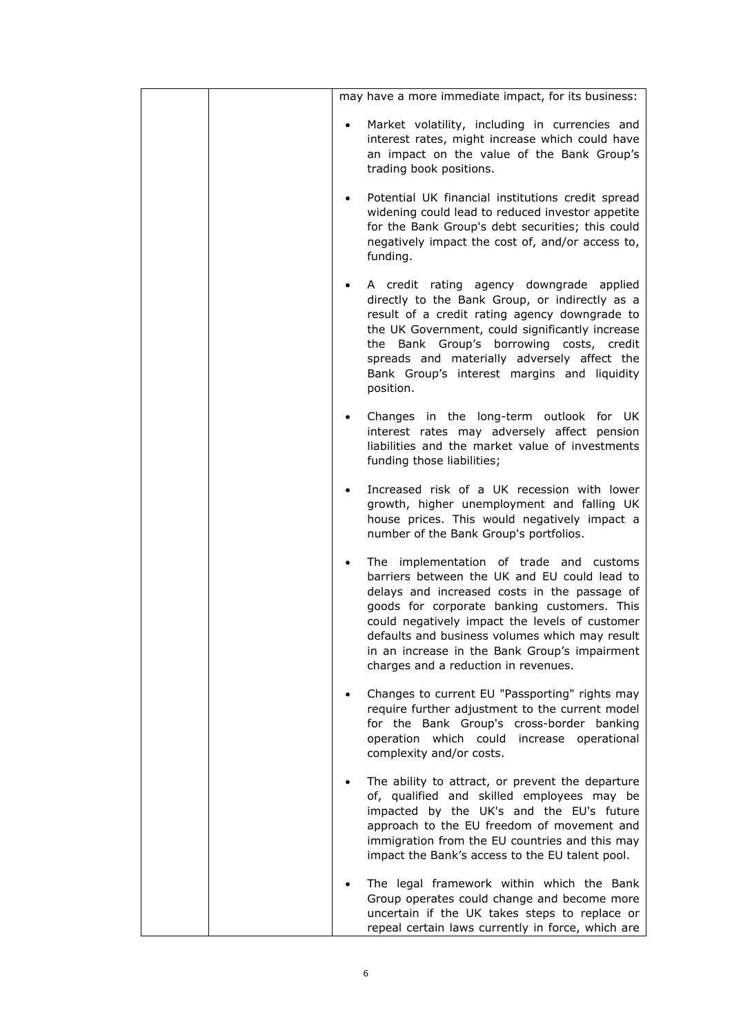| may have a more immediate impact, for its business:                                                                                                                                                                                                                                                                                                                                              |
|--------------------------------------------------------------------------------------------------------------------------------------------------------------------------------------------------------------------------------------------------------------------------------------------------------------------------------------------------------------------------------------------------|
| Market volatility, including in currencies and<br>interest rates, might increase which could have<br>an impact on the value of the Bank Group's<br>trading book positions.                                                                                                                                                                                                                       |
| Potential UK financial institutions credit spread<br>widening could lead to reduced investor appetite<br>for the Bank Group's debt securities; this could<br>negatively impact the cost of, and/or access to,<br>funding.                                                                                                                                                                        |
| A credit rating agency downgrade applied<br>directly to the Bank Group, or indirectly as a<br>result of a credit rating agency downgrade to<br>the UK Government, could significantly increase<br>the Bank Group's borrowing costs, credit<br>spreads and materially adversely affect the<br>Bank Group's interest margins and liquidity<br>position.                                            |
| Changes in the long-term outlook for UK<br>$\bullet$<br>interest rates may adversely affect pension<br>liabilities and the market value of investments<br>funding those liabilities;                                                                                                                                                                                                             |
| Increased risk of a UK recession with lower<br>$\bullet$<br>growth, higher unemployment and falling UK<br>house prices. This would negatively impact a<br>number of the Bank Group's portfolios.                                                                                                                                                                                                 |
| The implementation of trade and customs<br>$\bullet$<br>barriers between the UK and EU could lead to<br>delays and increased costs in the passage of<br>goods for corporate banking customers. This<br>could negatively impact the levels of customer<br>defaults and business volumes which may result<br>in an increase in the Bank Group's impairment<br>charges and a reduction in revenues. |
| Changes to current EU "Passporting" rights may<br>require further adjustment to the current model<br>for the Bank Group's cross-border banking<br>operation which could increase operational<br>complexity and/or costs.                                                                                                                                                                         |
| The ability to attract, or prevent the departure<br>of, qualified and skilled employees may be<br>impacted by the UK's and the EU's future<br>approach to the EU freedom of movement and<br>immigration from the EU countries and this may<br>impact the Bank's access to the EU talent pool.                                                                                                    |
| The legal framework within which the Bank<br>Group operates could change and become more<br>uncertain if the UK takes steps to replace or<br>repeal certain laws currently in force, which are                                                                                                                                                                                                   |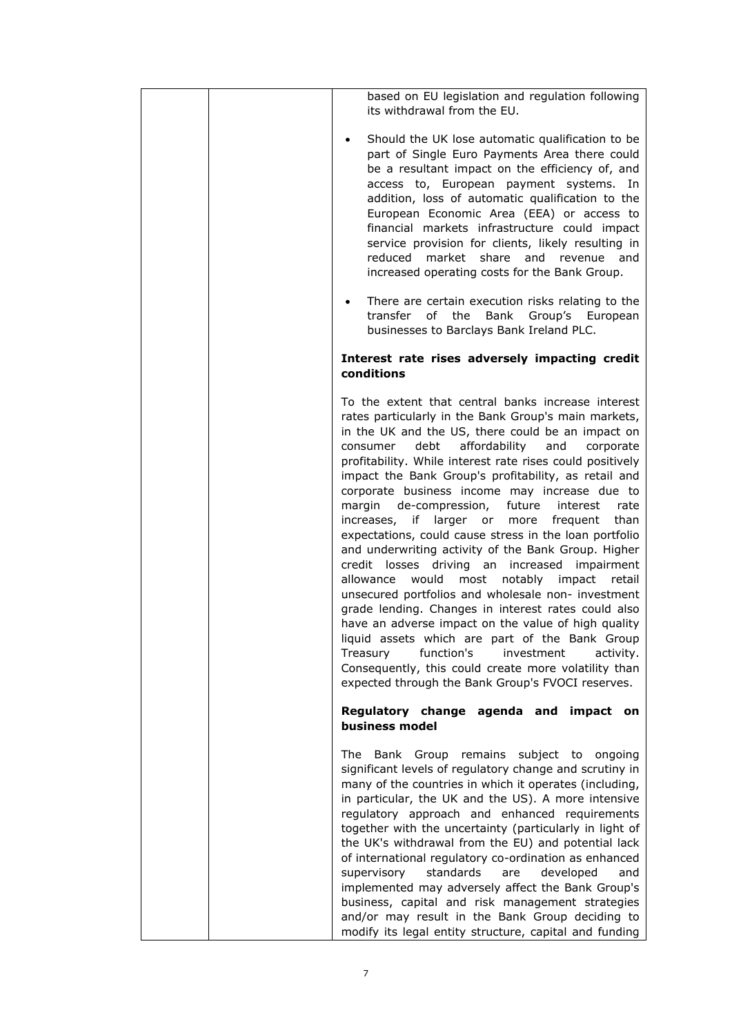|  | based on EU legislation and regulation following<br>its withdrawal from the EU.                                                                                                                                                                                                                                                                                                                                                                                                                                                                                                                                                                                                                                                                                                                                                                                                                                                                                                                                                                                                                                                      |
|--|--------------------------------------------------------------------------------------------------------------------------------------------------------------------------------------------------------------------------------------------------------------------------------------------------------------------------------------------------------------------------------------------------------------------------------------------------------------------------------------------------------------------------------------------------------------------------------------------------------------------------------------------------------------------------------------------------------------------------------------------------------------------------------------------------------------------------------------------------------------------------------------------------------------------------------------------------------------------------------------------------------------------------------------------------------------------------------------------------------------------------------------|
|  | Should the UK lose automatic qualification to be<br>part of Single Euro Payments Area there could<br>be a resultant impact on the efficiency of, and<br>access to, European payment systems. In<br>addition, loss of automatic qualification to the<br>European Economic Area (EEA) or access to<br>financial markets infrastructure could impact<br>service provision for clients, likely resulting in<br>reduced market share and revenue and<br>increased operating costs for the Bank Group.                                                                                                                                                                                                                                                                                                                                                                                                                                                                                                                                                                                                                                     |
|  | There are certain execution risks relating to the<br>transfer of<br>the<br>Bank<br>Group's European<br>businesses to Barclays Bank Ireland PLC.                                                                                                                                                                                                                                                                                                                                                                                                                                                                                                                                                                                                                                                                                                                                                                                                                                                                                                                                                                                      |
|  | Interest rate rises adversely impacting credit<br>conditions                                                                                                                                                                                                                                                                                                                                                                                                                                                                                                                                                                                                                                                                                                                                                                                                                                                                                                                                                                                                                                                                         |
|  | To the extent that central banks increase interest<br>rates particularly in the Bank Group's main markets,<br>in the UK and the US, there could be an impact on<br>consumer debt affordability<br>and<br>corporate<br>profitability. While interest rate rises could positively<br>impact the Bank Group's profitability, as retail and<br>corporate business income may increase due to<br>margin de-compression,<br>future<br>interest<br>rate<br>increases, if larger or<br>more<br>frequent<br>than<br>expectations, could cause stress in the loan portfolio<br>and underwriting activity of the Bank Group. Higher<br>credit losses driving an<br>increased<br>impairment<br>would<br>notably<br>allowance<br>most<br>impact<br>retail<br>unsecured portfolios and wholesale non- investment<br>grade lending. Changes in interest rates could also<br>have an adverse impact on the value of high quality<br>liquid assets which are part of the Bank Group<br>function's<br>Treasury<br>investment<br>activity.<br>Consequently, this could create more volatility than<br>expected through the Bank Group's FVOCI reserves. |
|  | Regulatory change agenda and impact on<br>business model                                                                                                                                                                                                                                                                                                                                                                                                                                                                                                                                                                                                                                                                                                                                                                                                                                                                                                                                                                                                                                                                             |
|  | The<br>Bank Group remains subject to<br>ongoing<br>significant levels of regulatory change and scrutiny in<br>many of the countries in which it operates (including,<br>in particular, the UK and the US). A more intensive<br>regulatory approach and enhanced requirements<br>together with the uncertainty (particularly in light of<br>the UK's withdrawal from the EU) and potential lack<br>of international regulatory co-ordination as enhanced<br>supervisory<br>standards<br>developed<br>are<br>and<br>implemented may adversely affect the Bank Group's<br>business, capital and risk management strategies<br>and/or may result in the Bank Group deciding to<br>modify its legal entity structure, capital and funding                                                                                                                                                                                                                                                                                                                                                                                                 |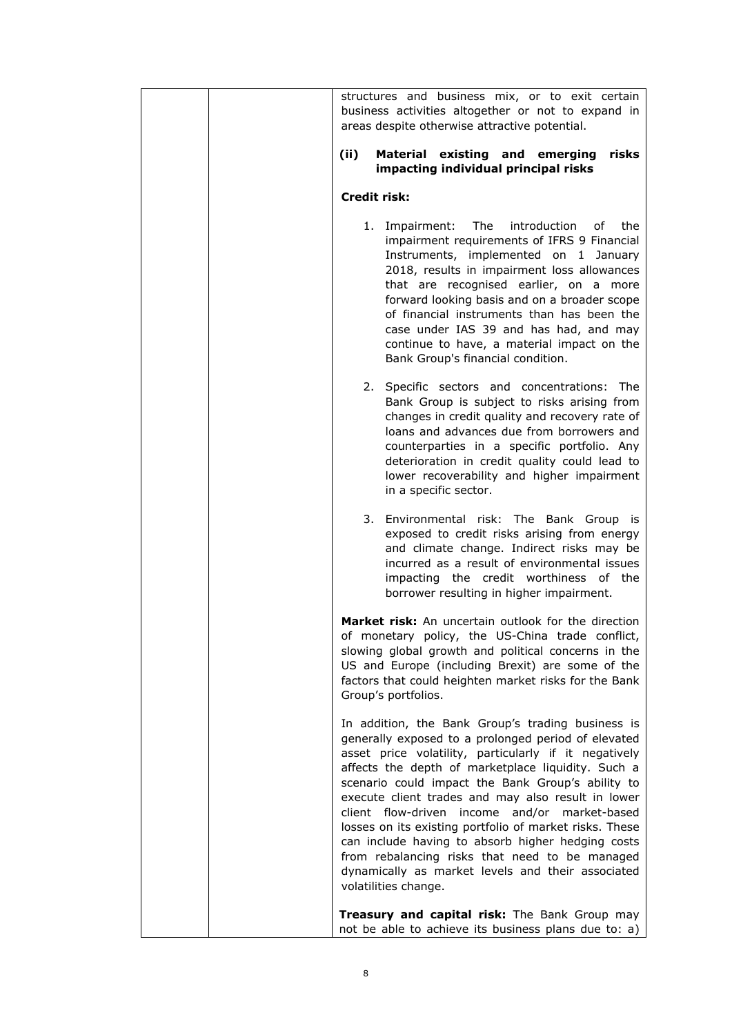| structures and business mix, or to exit certain<br>business activities altogether or not to expand in<br>areas despite otherwise attractive potential.                                                                                                                                                                                                                                                                                                                                                                                                                                                                             |
|------------------------------------------------------------------------------------------------------------------------------------------------------------------------------------------------------------------------------------------------------------------------------------------------------------------------------------------------------------------------------------------------------------------------------------------------------------------------------------------------------------------------------------------------------------------------------------------------------------------------------------|
| Material existing and emerging<br>(ii)<br>risks<br>impacting individual principal risks                                                                                                                                                                                                                                                                                                                                                                                                                                                                                                                                            |
| Credit risk:                                                                                                                                                                                                                                                                                                                                                                                                                                                                                                                                                                                                                       |
| 1. Impairment: The<br>introduction<br>of<br>the<br>impairment requirements of IFRS 9 Financial<br>Instruments, implemented on 1 January<br>2018, results in impairment loss allowances<br>that are recognised earlier, on a more<br>forward looking basis and on a broader scope<br>of financial instruments than has been the<br>case under IAS 39 and has had, and may<br>continue to have, a material impact on the<br>Bank Group's financial condition.                                                                                                                                                                        |
| 2. Specific sectors and concentrations: The<br>Bank Group is subject to risks arising from<br>changes in credit quality and recovery rate of<br>loans and advances due from borrowers and<br>counterparties in a specific portfolio. Any<br>deterioration in credit quality could lead to<br>lower recoverability and higher impairment<br>in a specific sector.                                                                                                                                                                                                                                                                   |
| 3. Environmental risk: The Bank Group is<br>exposed to credit risks arising from energy<br>and climate change. Indirect risks may be<br>incurred as a result of environmental issues<br>impacting the credit worthiness of the<br>borrower resulting in higher impairment.                                                                                                                                                                                                                                                                                                                                                         |
| <b>Market risk:</b> An uncertain outlook for the direction<br>of monetary policy, the US-China trade conflict,<br>slowing global growth and political concerns in the<br>US and Europe (including Brexit) are some of the<br>factors that could heighten market risks for the Bank<br>Group's portfolios.                                                                                                                                                                                                                                                                                                                          |
| In addition, the Bank Group's trading business is<br>generally exposed to a prolonged period of elevated<br>asset price volatility, particularly if it negatively<br>affects the depth of marketplace liquidity. Such a<br>scenario could impact the Bank Group's ability to<br>execute client trades and may also result in lower<br>client flow-driven income and/or market-based<br>losses on its existing portfolio of market risks. These<br>can include having to absorb higher hedging costs<br>from rebalancing risks that need to be managed<br>dynamically as market levels and their associated<br>volatilities change. |
| Treasury and capital risk: The Bank Group may<br>not be able to achieve its business plans due to: a)                                                                                                                                                                                                                                                                                                                                                                                                                                                                                                                              |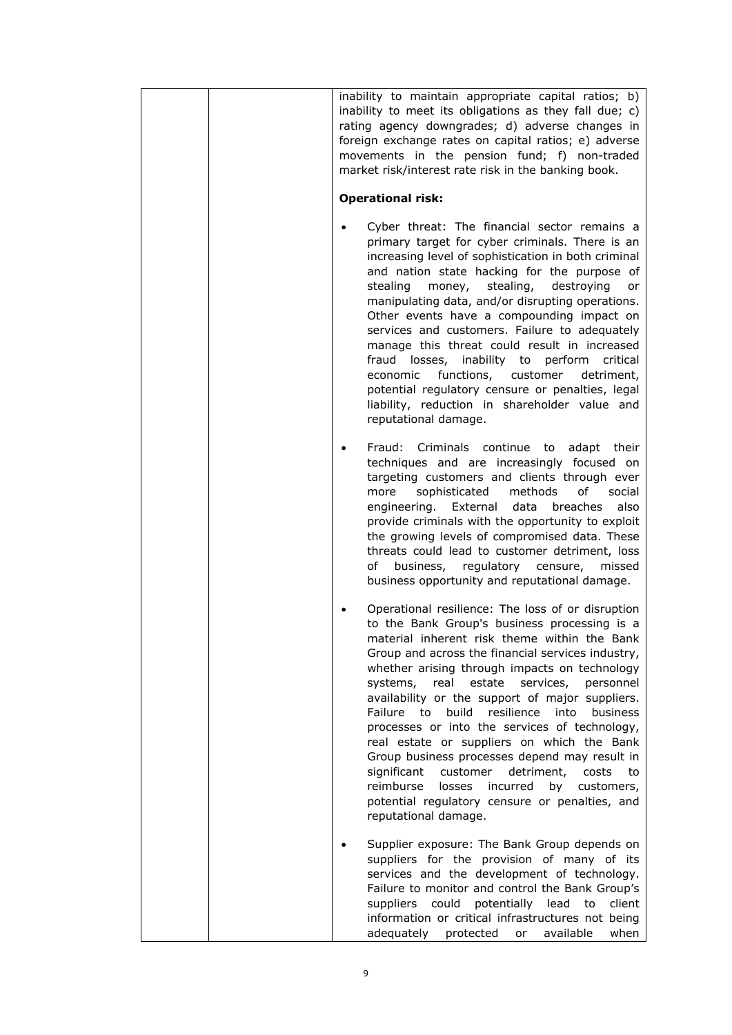| inability to maintain appropriate capital ratios; b)<br>inability to meet its obligations as they fall due; c)<br>rating agency downgrades; d) adverse changes in<br>foreign exchange rates on capital ratios; e) adverse<br>movements in the pension fund; f) non-traded<br>market risk/interest rate risk in the banking book.<br><b>Operational risk:</b>                                                                                                                                                                                                                                                                                                                                                                                                          |
|-----------------------------------------------------------------------------------------------------------------------------------------------------------------------------------------------------------------------------------------------------------------------------------------------------------------------------------------------------------------------------------------------------------------------------------------------------------------------------------------------------------------------------------------------------------------------------------------------------------------------------------------------------------------------------------------------------------------------------------------------------------------------|
| Cyber threat: The financial sector remains a<br>primary target for cyber criminals. There is an<br>increasing level of sophistication in both criminal<br>and nation state hacking for the purpose of<br>stealing<br>stealing,<br>money,<br>destroying<br>or<br>manipulating data, and/or disrupting operations.<br>Other events have a compounding impact on<br>services and customers. Failure to adequately<br>manage this threat could result in increased<br>fraud losses, inability to perform critical<br>economic functions, customer detriment,<br>potential regulatory censure or penalties, legal<br>liability, reduction in shareholder value and<br>reputational damage.                                                                                 |
| Fraud: Criminals continue to adapt their<br>techniques and are increasingly focused on<br>targeting customers and clients through ever<br>methods<br>of<br>sophisticated<br>social<br>more<br>engineering. External<br>data<br>breaches<br>also<br>provide criminals with the opportunity to exploit<br>the growing levels of compromised data. These<br>threats could lead to customer detriment, loss<br>business, regulatory censure,<br>of<br>missed<br>business opportunity and reputational damage.                                                                                                                                                                                                                                                             |
| Operational resilience: The loss of or disruption<br>to the Bank Group's business processing is a<br>material inherent risk theme within the Bank<br>Group and across the financial services industry,<br>whether arising through impacts on technology<br>real<br>estate<br>services,<br>systems,<br>personnel<br>availability or the support of major suppliers.<br>build resilience into<br>Failure to<br><b>business</b><br>processes or into the services of technology,<br>real estate or suppliers on which the Bank<br>Group business processes depend may result in<br>significant<br>customer<br>detriment,<br>costs<br>to<br>reimburse<br>losses<br>incurred<br>by<br>customers,<br>potential regulatory censure or penalties, and<br>reputational damage. |
| Supplier exposure: The Bank Group depends on<br>suppliers for the provision of many of its<br>services and the development of technology.<br>Failure to monitor and control the Bank Group's<br>suppliers could potentially lead<br>to<br>client<br>information or critical infrastructures not being<br>adequately protected or<br>available<br>when                                                                                                                                                                                                                                                                                                                                                                                                                 |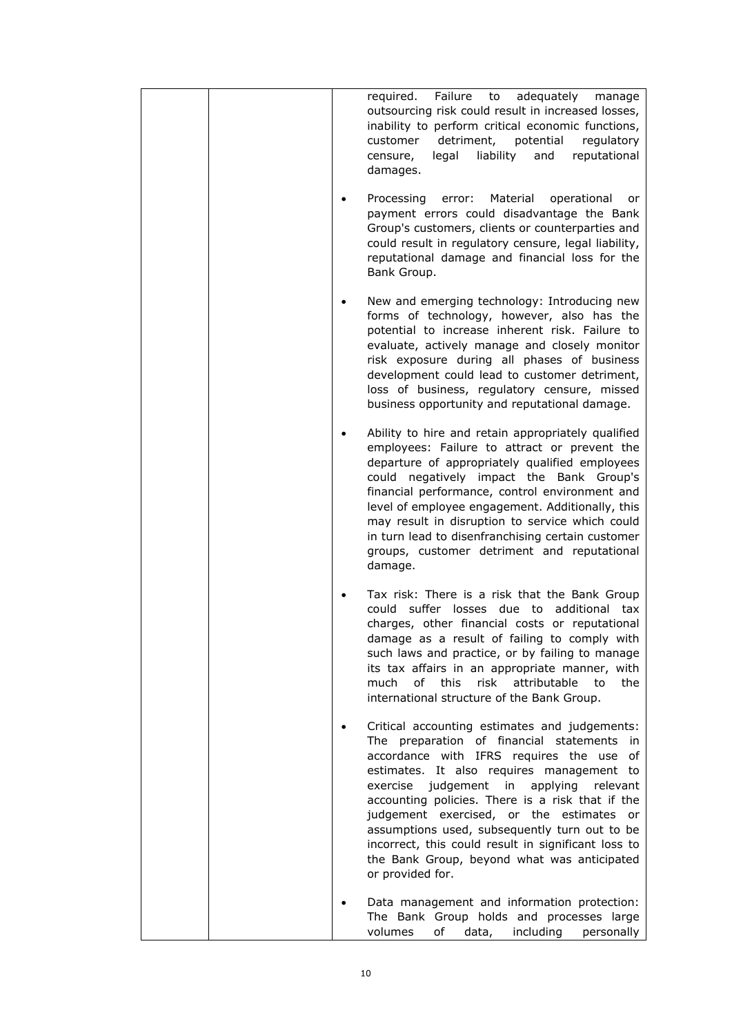| required. Failure<br>adequately manage<br>to<br>outsourcing risk could result in increased losses,<br>inability to perform critical economic functions,<br>detriment, potential<br>customer<br>regulatory<br>legal<br>liability<br>and<br>censure,<br>reputational<br>damages.                                                                                                                                                                                                                                             |
|----------------------------------------------------------------------------------------------------------------------------------------------------------------------------------------------------------------------------------------------------------------------------------------------------------------------------------------------------------------------------------------------------------------------------------------------------------------------------------------------------------------------------|
| Material operational<br>Processing<br>error:<br><b>or</b><br>payment errors could disadvantage the Bank<br>Group's customers, clients or counterparties and<br>could result in regulatory censure, legal liability,<br>reputational damage and financial loss for the<br>Bank Group.                                                                                                                                                                                                                                       |
| New and emerging technology: Introducing new<br>forms of technology, however, also has the<br>potential to increase inherent risk. Failure to<br>evaluate, actively manage and closely monitor<br>risk exposure during all phases of business<br>development could lead to customer detriment,<br>loss of business, regulatory censure, missed<br>business opportunity and reputational damage.                                                                                                                            |
| Ability to hire and retain appropriately qualified<br>employees: Failure to attract or prevent the<br>departure of appropriately qualified employees<br>could negatively impact the Bank Group's<br>financial performance, control environment and<br>level of employee engagement. Additionally, this<br>may result in disruption to service which could<br>in turn lead to disenfranchising certain customer<br>groups, customer detriment and reputational<br>damage.                                                   |
| Tax risk: There is a risk that the Bank Group<br>could suffer losses due to additional tax<br>charges, other financial costs or reputational<br>damage as a result of failing to comply with<br>such laws and practice, or by failing to manage<br>its tax affairs in an appropriate manner, with<br>οf<br>this<br>risk<br>attributable<br>the<br>much<br>to<br>international structure of the Bank Group.                                                                                                                 |
| Critical accounting estimates and judgements:<br>The preparation of financial statements<br>in.<br>accordance with IFRS requires the use<br>οf<br>estimates. It also requires management to<br>exercise<br>judgement in<br>applying<br>relevant<br>accounting policies. There is a risk that if the<br>judgement exercised, or the estimates or<br>assumptions used, subsequently turn out to be<br>incorrect, this could result in significant loss to<br>the Bank Group, beyond what was anticipated<br>or provided for. |
| Data management and information protection:<br>The Bank Group holds and processes large<br>volumes<br>of<br>data,<br>including<br>personally                                                                                                                                                                                                                                                                                                                                                                               |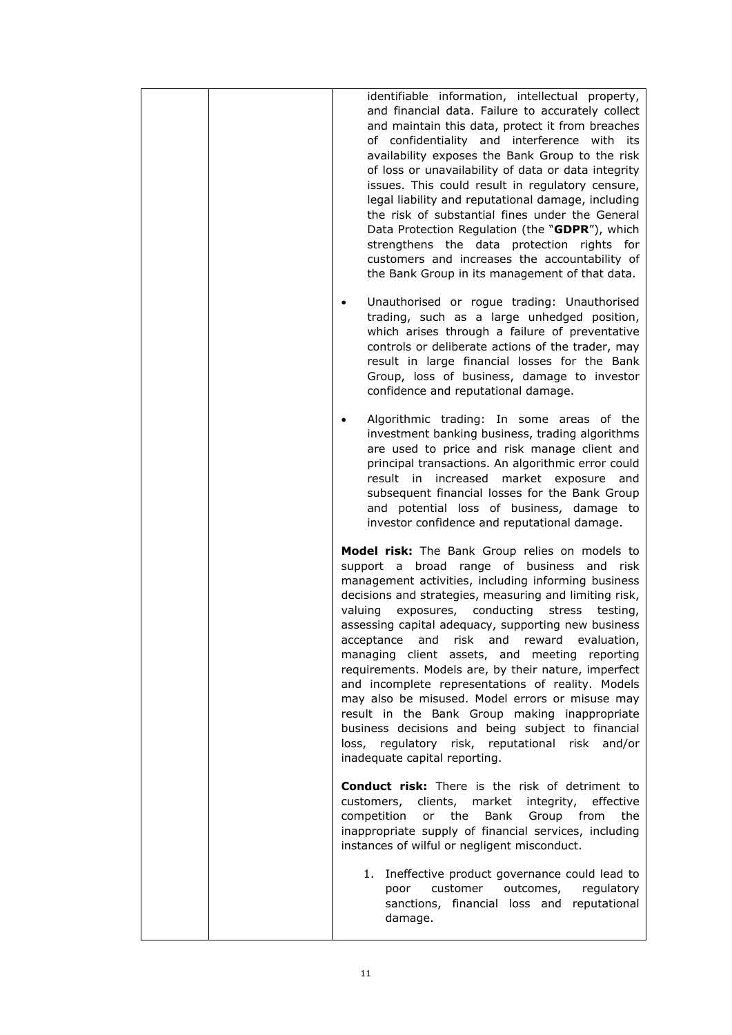|  | identifiable information, intellectual property,<br>and financial data. Failure to accurately collect<br>and maintain this data, protect it from breaches<br>of confidentiality and interference with its<br>availability exposes the Bank Group to the risk<br>of loss or unavailability of data or data integrity<br>issues. This could result in regulatory censure,<br>legal liability and reputational damage, including<br>the risk of substantial fines under the General<br>Data Protection Regulation (the "GDPR"), which<br>strengthens the data protection rights for<br>customers and increases the accountability of<br>the Bank Group in its management of that data.                                                                                                        |
|--|--------------------------------------------------------------------------------------------------------------------------------------------------------------------------------------------------------------------------------------------------------------------------------------------------------------------------------------------------------------------------------------------------------------------------------------------------------------------------------------------------------------------------------------------------------------------------------------------------------------------------------------------------------------------------------------------------------------------------------------------------------------------------------------------|
|  | Unauthorised or rogue trading: Unauthorised<br>trading, such as a large unhedged position,<br>which arises through a failure of preventative<br>controls or deliberate actions of the trader, may<br>result in large financial losses for the Bank<br>Group, loss of business, damage to investor<br>confidence and reputational damage.                                                                                                                                                                                                                                                                                                                                                                                                                                                   |
|  | Algorithmic trading: In some areas of the<br>investment banking business, trading algorithms<br>are used to price and risk manage client and<br>principal transactions. An algorithmic error could<br>result in increased market exposure<br>and<br>subsequent financial losses for the Bank Group<br>and potential loss of business, damage to<br>investor confidence and reputational damage.                                                                                                                                                                                                                                                                                                                                                                                            |
|  | Model risk: The Bank Group relies on models to<br>support a broad range of business and<br>risk<br>management activities, including informing business<br>decisions and strategies, measuring and limiting risk,<br>exposures, conducting stress<br>valuing<br>testing,<br>assessing capital adequacy, supporting new business<br>and risk and reward evaluation,<br>acceptance<br>managing client assets, and meeting reporting<br>requirements. Models are, by their nature, imperfect<br>and incomplete representations of reality. Models<br>may also be misused. Model errors or misuse may<br>result in the Bank Group making inappropriate<br>business decisions and being subject to financial<br>loss, regulatory risk, reputational risk and/or<br>inadequate capital reporting. |
|  | <b>Conduct risk:</b> There is the risk of detriment to<br>clients, market<br>effective<br>customers,<br>integrity,<br>competition<br>the<br>Bank<br>from<br>the<br>or<br>Group<br>inappropriate supply of financial services, including<br>instances of wilful or negligent misconduct.                                                                                                                                                                                                                                                                                                                                                                                                                                                                                                    |
|  | 1. Ineffective product governance could lead to<br>outcomes,<br>regulatory<br>customer<br>poor<br>sanctions, financial loss and reputational<br>damage.                                                                                                                                                                                                                                                                                                                                                                                                                                                                                                                                                                                                                                    |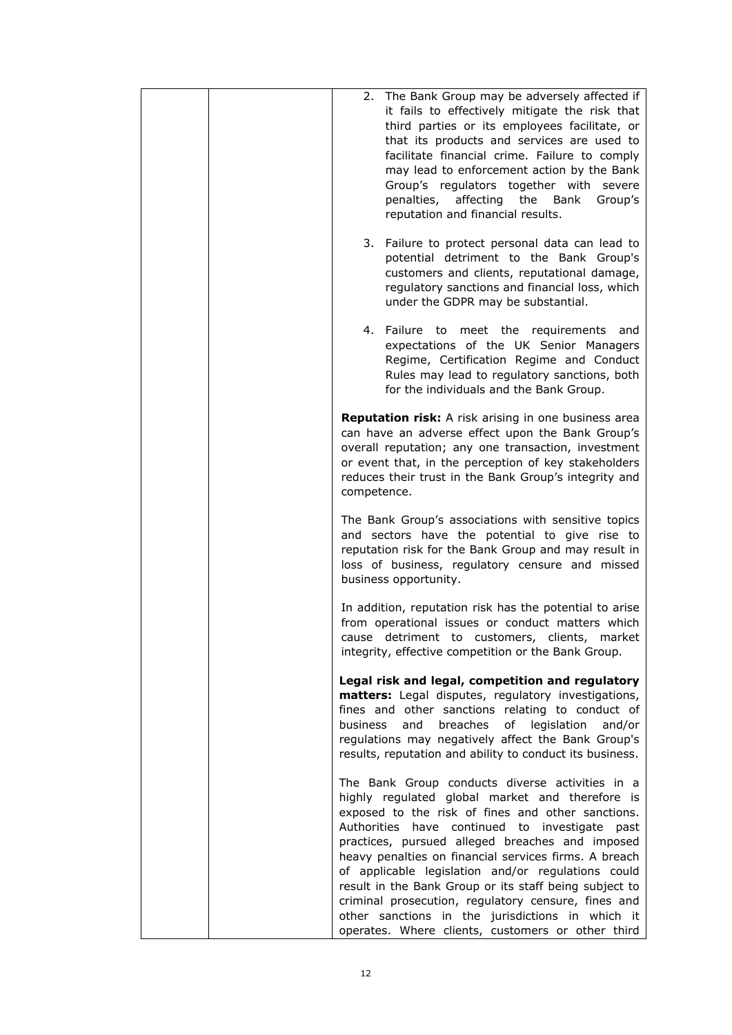| The Bank Group may be adversely affected if<br>2.<br>it fails to effectively mitigate the risk that<br>third parties or its employees facilitate, or<br>that its products and services are used to<br>facilitate financial crime. Failure to comply<br>may lead to enforcement action by the Bank<br>Group's regulators together with severe<br>penalties, affecting<br>the Bank<br>Group's<br>reputation and financial results.                                                                                                                                                                         |
|----------------------------------------------------------------------------------------------------------------------------------------------------------------------------------------------------------------------------------------------------------------------------------------------------------------------------------------------------------------------------------------------------------------------------------------------------------------------------------------------------------------------------------------------------------------------------------------------------------|
| 3.<br>Failure to protect personal data can lead to<br>potential detriment to the Bank Group's<br>customers and clients, reputational damage,<br>regulatory sanctions and financial loss, which<br>under the GDPR may be substantial.                                                                                                                                                                                                                                                                                                                                                                     |
| 4. Failure to meet the requirements<br>and<br>expectations of the UK Senior Managers<br>Regime, Certification Regime and Conduct<br>Rules may lead to regulatory sanctions, both<br>for the individuals and the Bank Group.                                                                                                                                                                                                                                                                                                                                                                              |
| <b>Reputation risk:</b> A risk arising in one business area<br>can have an adverse effect upon the Bank Group's<br>overall reputation; any one transaction, investment<br>or event that, in the perception of key stakeholders<br>reduces their trust in the Bank Group's integrity and<br>competence.                                                                                                                                                                                                                                                                                                   |
| The Bank Group's associations with sensitive topics<br>and sectors have the potential to give rise to<br>reputation risk for the Bank Group and may result in<br>loss of business, regulatory censure and missed<br>business opportunity.                                                                                                                                                                                                                                                                                                                                                                |
| In addition, reputation risk has the potential to arise<br>from operational issues or conduct matters which<br>cause detriment to customers, clients, market<br>integrity, effective competition or the Bank Group.                                                                                                                                                                                                                                                                                                                                                                                      |
| Legal risk and legal, competition and regulatory<br>matters: Legal disputes, regulatory investigations,<br>fines and other sanctions relating to conduct of<br>and<br>breaches<br>of<br>legislation<br><b>business</b><br>and/or<br>regulations may negatively affect the Bank Group's<br>results, reputation and ability to conduct its business.                                                                                                                                                                                                                                                       |
| The Bank Group conducts diverse activities in a<br>highly regulated global market and therefore is<br>exposed to the risk of fines and other sanctions.<br>Authorities have continued to investigate<br>past<br>practices, pursued alleged breaches and imposed<br>heavy penalties on financial services firms. A breach<br>of applicable legislation and/or regulations could<br>result in the Bank Group or its staff being subject to<br>criminal prosecution, regulatory censure, fines and<br>other sanctions in the jurisdictions in which it<br>operates. Where clients, customers or other third |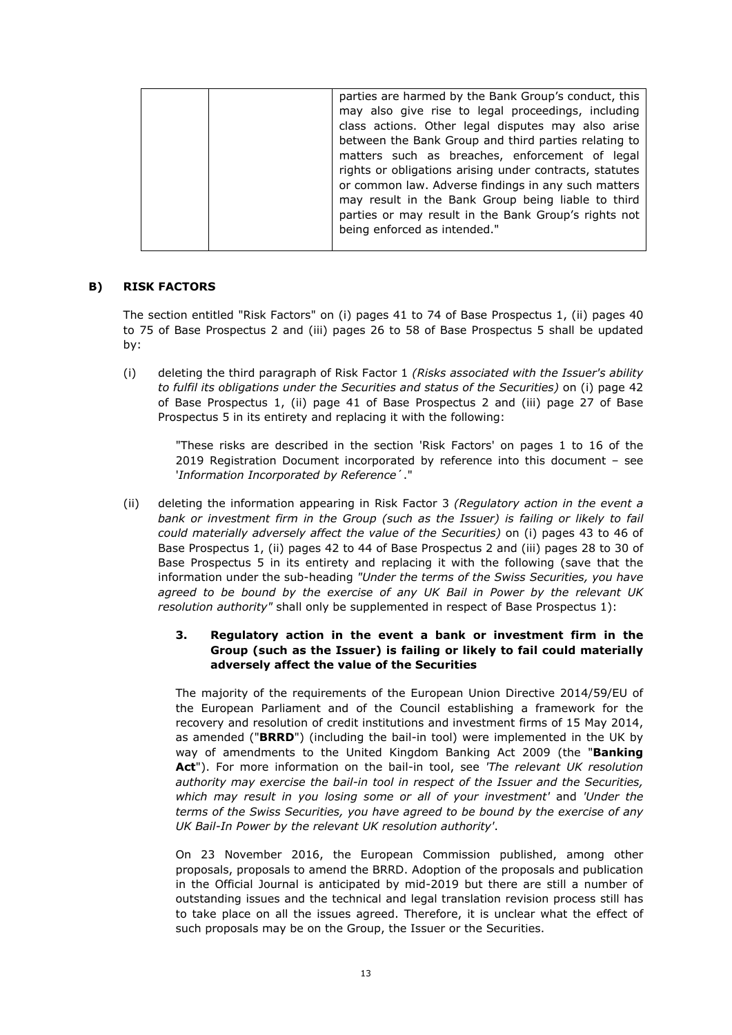| parties are harmed by the Bank Group's conduct, this    |
|---------------------------------------------------------|
| may also give rise to legal proceedings, including      |
| class actions. Other legal disputes may also arise      |
| between the Bank Group and third parties relating to    |
| matters such as breaches, enforcement of legal          |
| rights or obligations arising under contracts, statutes |
| or common law. Adverse findings in any such matters     |
| may result in the Bank Group being liable to third      |
| parties or may result in the Bank Group's rights not    |
| being enforced as intended."                            |
|                                                         |

## **B) RISK FACTORS**

The section entitled "Risk Factors" on (i) pages 41 to 74 of Base Prospectus 1, (ii) pages 40 to 75 of Base Prospectus 2 and (iii) pages 26 to 58 of Base Prospectus 5 shall be updated by:

(i) deleting the third paragraph of Risk Factor 1 *(Risks associated with the Issuer's ability to fulfil its obligations under the Securities and status of the Securities)* on (i) page 42 of Base Prospectus 1, (ii) page 41 of Base Prospectus 2 and (iii) page 27 of Base Prospectus 5 in its entirety and replacing it with the following:

> "These risks are described in the section 'Risk Factors' on pages 1 to 16 of the 2019 Registration Document incorporated by reference into this document – see '*Information Incorporated by Reference*´."

(ii) deleting the information appearing in Risk Factor 3 *(Regulatory action in the event a bank or investment firm in the Group (such as the Issuer) is failing or likely to fail could materially adversely affect the value of the Securities)* on (i) pages 43 to 46 of Base Prospectus 1, (ii) pages 42 to 44 of Base Prospectus 2 and (iii) pages 28 to 30 of Base Prospectus 5 in its entirety and replacing it with the following (save that the information under the sub-heading *"Under the terms of the Swiss Securities, you have agreed to be bound by the exercise of any UK Bail in Power by the relevant UK resolution authority"* shall only be supplemented in respect of Base Prospectus 1):

## **3. Regulatory action in the event a bank or investment firm in the Group (such as the Issuer) is failing or likely to fail could materially adversely affect the value of the Securities**

The majority of the requirements of the European Union Directive 2014/59/EU of the European Parliament and of the Council establishing a framework for the recovery and resolution of credit institutions and investment firms of 15 May 2014, as amended ("**BRRD**") (including the bail-in tool) were implemented in the UK by way of amendments to the United Kingdom Banking Act 2009 (the "**Banking Act**"). For more information on the bail-in tool, see *'The relevant UK resolution authority may exercise the bail-in tool in respect of the Issuer and the Securities, which may result in you losing some or all of your investment'* and *'Under the terms of the Swiss Securities, you have agreed to be bound by the exercise of any UK Bail-In Power by the relevant UK resolution authority'*.

On 23 November 2016, the European Commission published, among other proposals, proposals to amend the BRRD. Adoption of the proposals and publication in the Official Journal is anticipated by mid-2019 but there are still a number of outstanding issues and the technical and legal translation revision process still has to take place on all the issues agreed. Therefore, it is unclear what the effect of such proposals may be on the Group, the Issuer or the Securities.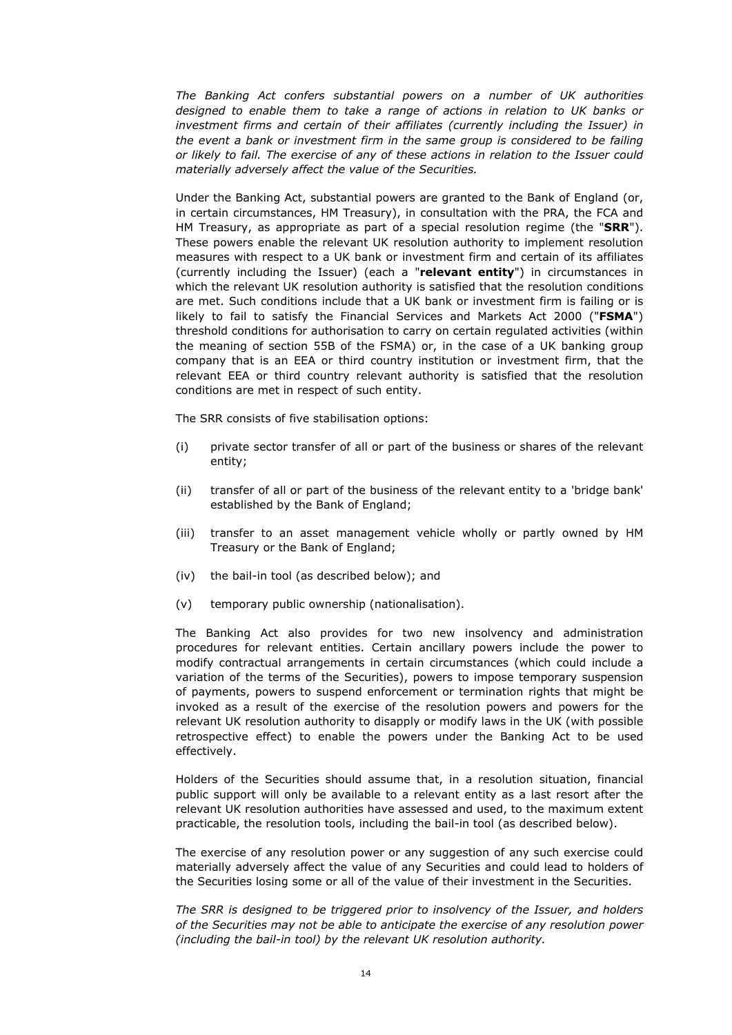*The Banking Act confers substantial powers on a number of UK authorities*  designed to enable them to take a range of actions in relation to UK banks or *investment firms and certain of their affiliates (currently including the Issuer) in the event a bank or investment firm in the same group is considered to be failing or likely to fail. The exercise of any of these actions in relation to the Issuer could materially adversely affect the value of the Securities.*

Under the Banking Act, substantial powers are granted to the Bank of England (or, in certain circumstances, HM Treasury), in consultation with the PRA, the FCA and HM Treasury, as appropriate as part of a special resolution regime (the "**SRR**"). These powers enable the relevant UK resolution authority to implement resolution measures with respect to a UK bank or investment firm and certain of its affiliates (currently including the Issuer) (each a "**relevant entity**") in circumstances in which the relevant UK resolution authority is satisfied that the resolution conditions are met. Such conditions include that a UK bank or investment firm is failing or is likely to fail to satisfy the Financial Services and Markets Act 2000 ("**FSMA**") threshold conditions for authorisation to carry on certain regulated activities (within the meaning of section 55B of the FSMA) or, in the case of a UK banking group company that is an EEA or third country institution or investment firm, that the relevant EEA or third country relevant authority is satisfied that the resolution conditions are met in respect of such entity.

The SRR consists of five stabilisation options:

- (i) private sector transfer of all or part of the business or shares of the relevant entity;
- (ii) transfer of all or part of the business of the relevant entity to a 'bridge bank' established by the Bank of England;
- (iii) transfer to an asset management vehicle wholly or partly owned by HM Treasury or the Bank of England;
- (iv) the bail-in tool (as described below); and
- (v) temporary public ownership (nationalisation).

The Banking Act also provides for two new insolvency and administration procedures for relevant entities. Certain ancillary powers include the power to modify contractual arrangements in certain circumstances (which could include a variation of the terms of the Securities), powers to impose temporary suspension of payments, powers to suspend enforcement or termination rights that might be invoked as a result of the exercise of the resolution powers and powers for the relevant UK resolution authority to disapply or modify laws in the UK (with possible retrospective effect) to enable the powers under the Banking Act to be used effectively.

Holders of the Securities should assume that, in a resolution situation, financial public support will only be available to a relevant entity as a last resort after the relevant UK resolution authorities have assessed and used, to the maximum extent practicable, the resolution tools, including the bail-in tool (as described below).

The exercise of any resolution power or any suggestion of any such exercise could materially adversely affect the value of any Securities and could lead to holders of the Securities losing some or all of the value of their investment in the Securities.

*The SRR is designed to be triggered prior to insolvency of the Issuer, and holders of the Securities may not be able to anticipate the exercise of any resolution power (including the bail-in tool) by the relevant UK resolution authority.*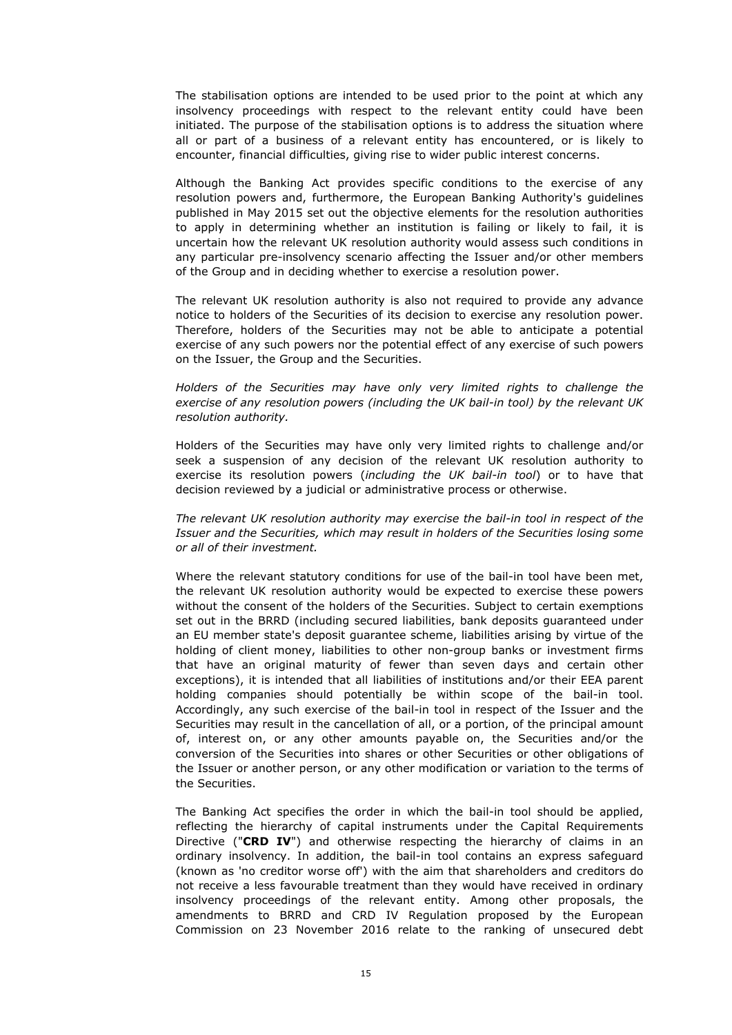The stabilisation options are intended to be used prior to the point at which any insolvency proceedings with respect to the relevant entity could have been initiated. The purpose of the stabilisation options is to address the situation where all or part of a business of a relevant entity has encountered, or is likely to encounter, financial difficulties, giving rise to wider public interest concerns.

Although the Banking Act provides specific conditions to the exercise of any resolution powers and, furthermore, the European Banking Authority's guidelines published in May 2015 set out the objective elements for the resolution authorities to apply in determining whether an institution is failing or likely to fail, it is uncertain how the relevant UK resolution authority would assess such conditions in any particular pre-insolvency scenario affecting the Issuer and/or other members of the Group and in deciding whether to exercise a resolution power.

The relevant UK resolution authority is also not required to provide any advance notice to holders of the Securities of its decision to exercise any resolution power. Therefore, holders of the Securities may not be able to anticipate a potential exercise of any such powers nor the potential effect of any exercise of such powers on the Issuer, the Group and the Securities.

*Holders of the Securities may have only very limited rights to challenge the exercise of any resolution powers (including the UK bail-in tool) by the relevant UK resolution authority.*

Holders of the Securities may have only very limited rights to challenge and/or seek a suspension of any decision of the relevant UK resolution authority to exercise its resolution powers (*including the UK bail-in tool*) or to have that decision reviewed by a judicial or administrative process or otherwise.

*The relevant UK resolution authority may exercise the bail-in tool in respect of the Issuer and the Securities, which may result in holders of the Securities losing some or all of their investment.*

Where the relevant statutory conditions for use of the bail-in tool have been met, the relevant UK resolution authority would be expected to exercise these powers without the consent of the holders of the Securities. Subject to certain exemptions set out in the BRRD (including secured liabilities, bank deposits guaranteed under an EU member state's deposit guarantee scheme, liabilities arising by virtue of the holding of client money, liabilities to other non-group banks or investment firms that have an original maturity of fewer than seven days and certain other exceptions), it is intended that all liabilities of institutions and/or their EEA parent holding companies should potentially be within scope of the bail-in tool. Accordingly, any such exercise of the bail-in tool in respect of the Issuer and the Securities may result in the cancellation of all, or a portion, of the principal amount of, interest on, or any other amounts payable on, the Securities and/or the conversion of the Securities into shares or other Securities or other obligations of the Issuer or another person, or any other modification or variation to the terms of the Securities.

The Banking Act specifies the order in which the bail-in tool should be applied, reflecting the hierarchy of capital instruments under the Capital Requirements Directive ("**CRD IV**") and otherwise respecting the hierarchy of claims in an ordinary insolvency. In addition, the bail-in tool contains an express safeguard (known as 'no creditor worse off') with the aim that shareholders and creditors do not receive a less favourable treatment than they would have received in ordinary insolvency proceedings of the relevant entity. Among other proposals, the amendments to BRRD and CRD IV Regulation proposed by the European Commission on 23 November 2016 relate to the ranking of unsecured debt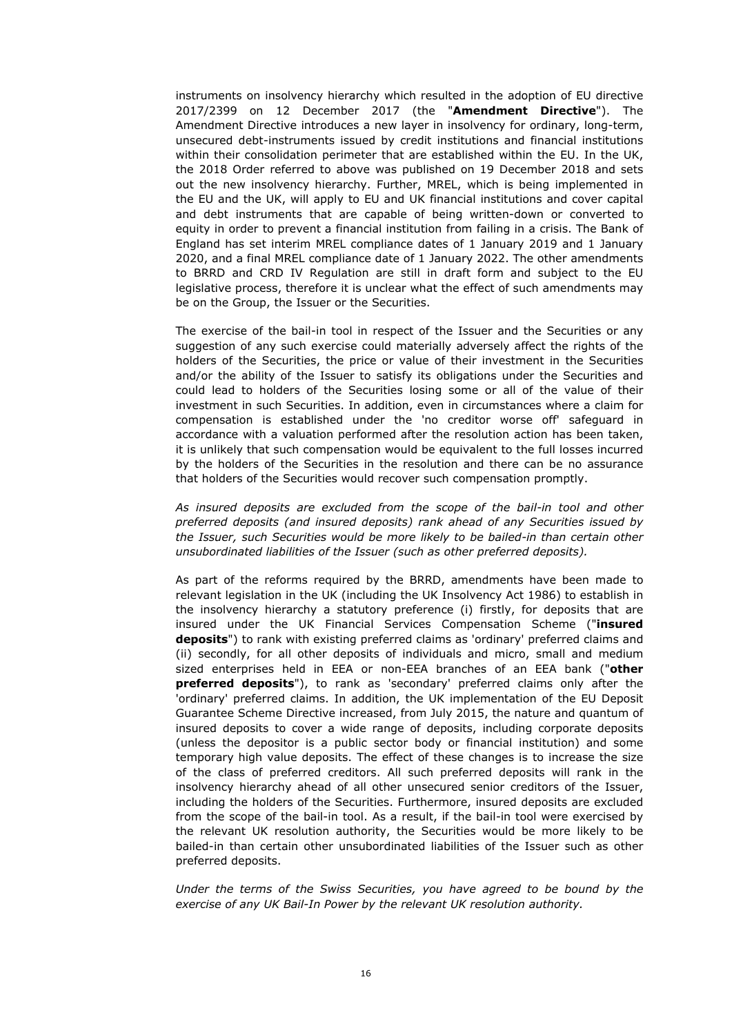instruments on insolvency hierarchy which resulted in the adoption of EU directive 2017/2399 on 12 December 2017 (the "**Amendment Directive**"). The Amendment Directive introduces a new layer in insolvency for ordinary, long-term, unsecured debt-instruments issued by credit institutions and financial institutions within their consolidation perimeter that are established within the EU. In the UK, the 2018 Order referred to above was published on 19 December 2018 and sets out the new insolvency hierarchy. Further, MREL, which is being implemented in the EU and the UK, will apply to EU and UK financial institutions and cover capital and debt instruments that are capable of being written-down or converted to equity in order to prevent a financial institution from failing in a crisis. The Bank of England has set interim MREL compliance dates of 1 January 2019 and 1 January 2020, and a final MREL compliance date of 1 January 2022. The other amendments to BRRD and CRD IV Regulation are still in draft form and subject to the EU legislative process, therefore it is unclear what the effect of such amendments may be on the Group, the Issuer or the Securities.

The exercise of the bail-in tool in respect of the Issuer and the Securities or any suggestion of any such exercise could materially adversely affect the rights of the holders of the Securities, the price or value of their investment in the Securities and/or the ability of the Issuer to satisfy its obligations under the Securities and could lead to holders of the Securities losing some or all of the value of their investment in such Securities. In addition, even in circumstances where a claim for compensation is established under the 'no creditor worse off' safeguard in accordance with a valuation performed after the resolution action has been taken, it is unlikely that such compensation would be equivalent to the full losses incurred by the holders of the Securities in the resolution and there can be no assurance that holders of the Securities would recover such compensation promptly.

*As insured deposits are excluded from the scope of the bail-in tool and other preferred deposits (and insured deposits) rank ahead of any Securities issued by the Issuer, such Securities would be more likely to be bailed-in than certain other unsubordinated liabilities of the Issuer (such as other preferred deposits).*

As part of the reforms required by the BRRD, amendments have been made to relevant legislation in the UK (including the UK Insolvency Act 1986) to establish in the insolvency hierarchy a statutory preference (i) firstly, for deposits that are insured under the UK Financial Services Compensation Scheme ("**insured deposits**") to rank with existing preferred claims as 'ordinary' preferred claims and (ii) secondly, for all other deposits of individuals and micro, small and medium sized enterprises held in EEA or non-EEA branches of an EEA bank ("**other preferred deposits**"), to rank as 'secondary' preferred claims only after the 'ordinary' preferred claims. In addition, the UK implementation of the EU Deposit Guarantee Scheme Directive increased, from July 2015, the nature and quantum of insured deposits to cover a wide range of deposits, including corporate deposits (unless the depositor is a public sector body or financial institution) and some temporary high value deposits. The effect of these changes is to increase the size of the class of preferred creditors. All such preferred deposits will rank in the insolvency hierarchy ahead of all other unsecured senior creditors of the Issuer, including the holders of the Securities. Furthermore, insured deposits are excluded from the scope of the bail-in tool. As a result, if the bail-in tool were exercised by the relevant UK resolution authority, the Securities would be more likely to be bailed-in than certain other unsubordinated liabilities of the Issuer such as other preferred deposits.

*Under the terms of the Swiss Securities, you have agreed to be bound by the exercise of any UK Bail-In Power by the relevant UK resolution authority.*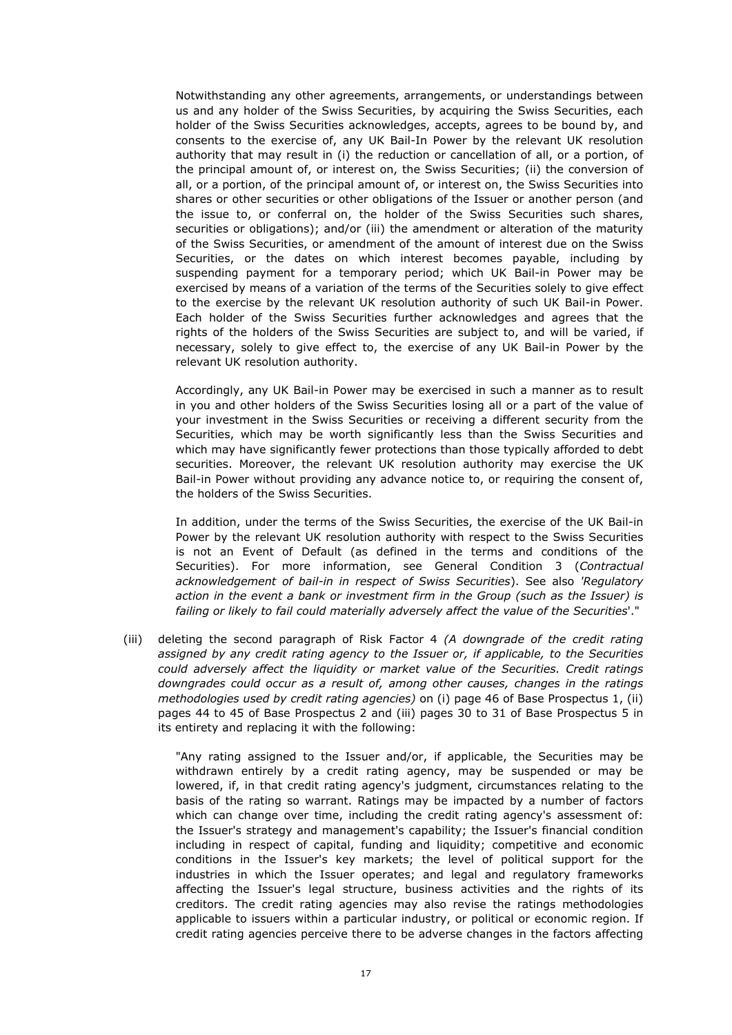Notwithstanding any other agreements, arrangements, or understandings between us and any holder of the Swiss Securities, by acquiring the Swiss Securities, each holder of the Swiss Securities acknowledges, accepts, agrees to be bound by, and consents to the exercise of, any UK Bail-In Power by the relevant UK resolution authority that may result in (i) the reduction or cancellation of all, or a portion, of the principal amount of, or interest on, the Swiss Securities; (ii) the conversion of all, or a portion, of the principal amount of, or interest on, the Swiss Securities into shares or other securities or other obligations of the Issuer or another person (and the issue to, or conferral on, the holder of the Swiss Securities such shares, securities or obligations); and/or (iii) the amendment or alteration of the maturity of the Swiss Securities, or amendment of the amount of interest due on the Swiss Securities, or the dates on which interest becomes payable, including by suspending payment for a temporary period; which UK Bail-in Power may be exercised by means of a variation of the terms of the Securities solely to give effect to the exercise by the relevant UK resolution authority of such UK Bail-in Power. Each holder of the Swiss Securities further acknowledges and agrees that the rights of the holders of the Swiss Securities are subject to, and will be varied, if necessary, solely to give effect to, the exercise of any UK Bail-in Power by the relevant UK resolution authority.

Accordingly, any UK Bail-in Power may be exercised in such a manner as to result in you and other holders of the Swiss Securities losing all or a part of the value of your investment in the Swiss Securities or receiving a different security from the Securities, which may be worth significantly less than the Swiss Securities and which may have significantly fewer protections than those typically afforded to debt securities. Moreover, the relevant UK resolution authority may exercise the UK Bail-in Power without providing any advance notice to, or requiring the consent of, the holders of the Swiss Securities.

In addition, under the terms of the Swiss Securities, the exercise of the UK Bail-in Power by the relevant UK resolution authority with respect to the Swiss Securities is not an Event of Default (as defined in the terms and conditions of the Securities). For more information, see General Condition 3 (*Contractual acknowledgement of bail-in in respect of Swiss Securities*). See also *'Regulatory action in the event a bank or investment firm in the Group (such as the Issuer) is failing or likely to fail could materially adversely affect the value of the Securities*'."

(iii) deleting the second paragraph of Risk Factor 4 *(A downgrade of the credit rating assigned by any credit rating agency to the Issuer or, if applicable, to the Securities could adversely affect the liquidity or market value of the Securities. Credit ratings downgrades could occur as a result of, among other causes, changes in the ratings methodologies used by credit rating agencies)* on (i) page 46 of Base Prospectus 1, (ii) pages 44 to 45 of Base Prospectus 2 and (iii) pages 30 to 31 of Base Prospectus 5 in its entirety and replacing it with the following:

"Any rating assigned to the Issuer and/or, if applicable, the Securities may be withdrawn entirely by a credit rating agency, may be suspended or may be lowered, if, in that credit rating agency's judgment, circumstances relating to the basis of the rating so warrant. Ratings may be impacted by a number of factors which can change over time, including the credit rating agency's assessment of: the Issuer's strategy and management's capability; the Issuer's financial condition including in respect of capital, funding and liquidity; competitive and economic conditions in the Issuer's key markets; the level of political support for the industries in which the Issuer operates; and legal and regulatory frameworks affecting the Issuer's legal structure, business activities and the rights of its creditors. The credit rating agencies may also revise the ratings methodologies applicable to issuers within a particular industry, or political or economic region. If credit rating agencies perceive there to be adverse changes in the factors affecting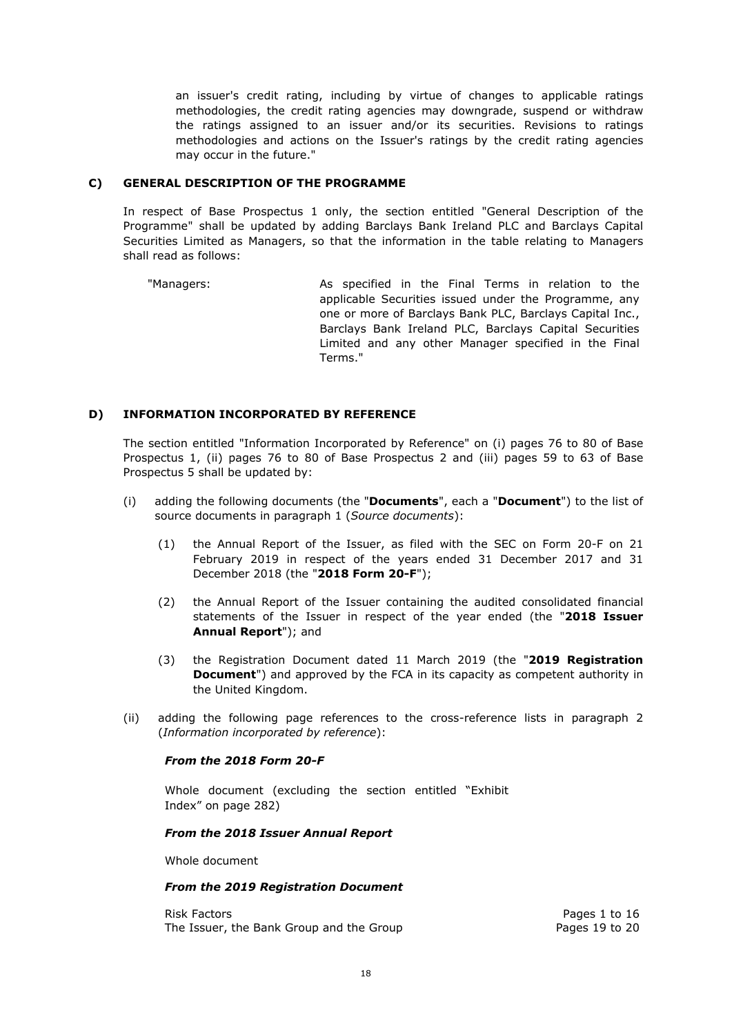an issuer's credit rating, including by virtue of changes to applicable ratings methodologies, the credit rating agencies may downgrade, suspend or withdraw the ratings assigned to an issuer and/or its securities. Revisions to ratings methodologies and actions on the Issuer's ratings by the credit rating agencies may occur in the future."

## **C) GENERAL DESCRIPTION OF THE PROGRAMME**

In respect of Base Prospectus 1 only, the section entitled "General Description of the Programme" shall be updated by adding Barclays Bank Ireland PLC and Barclays Capital Securities Limited as Managers, so that the information in the table relating to Managers shall read as follows:

"Managers: As specified in the Final Terms in relation to the applicable Securities issued under the Programme, any one or more of Barclays Bank PLC, Barclays Capital Inc., Barclays Bank Ireland PLC, Barclays Capital Securities Limited and any other Manager specified in the Final Terms."

## **D) INFORMATION INCORPORATED BY REFERENCE**

The section entitled "Information Incorporated by Reference" on (i) pages 76 to 80 of Base Prospectus 1, (ii) pages 76 to 80 of Base Prospectus 2 and (iii) pages 59 to 63 of Base Prospectus 5 shall be updated by:

- (i) adding the following documents (the "**Documents**", each a "**Document**") to the list of source documents in paragraph 1 (*Source documents*):
	- (1) the Annual Report of the Issuer, as filed with the SEC on Form 20-F on 21 February 2019 in respect of the years ended 31 December 2017 and 31 December 2018 (the "**2018 Form 20-F**");
	- (2) the Annual Report of the Issuer containing the audited consolidated financial statements of the Issuer in respect of the year ended (the "**2018 Issuer Annual Report**"); and
	- (3) the Registration Document dated 11 March 2019 (the "**2019 Registration Document**") and approved by the FCA in its capacity as competent authority in the United Kingdom.
- (ii) adding the following page references to the cross-reference lists in paragraph 2 (*Information incorporated by reference*):

## *From the 2018 Form 20-F*

Whole document (excluding the section entitled "Exhibit Index" on page 282)

## *From the 2018 Issuer Annual Report*

Whole document

## *From the 2019 Registration Document*

Risk Factors Pages 1 to 16 The Issuer, the Bank Group and the Group example and the Group Pages 19 to 20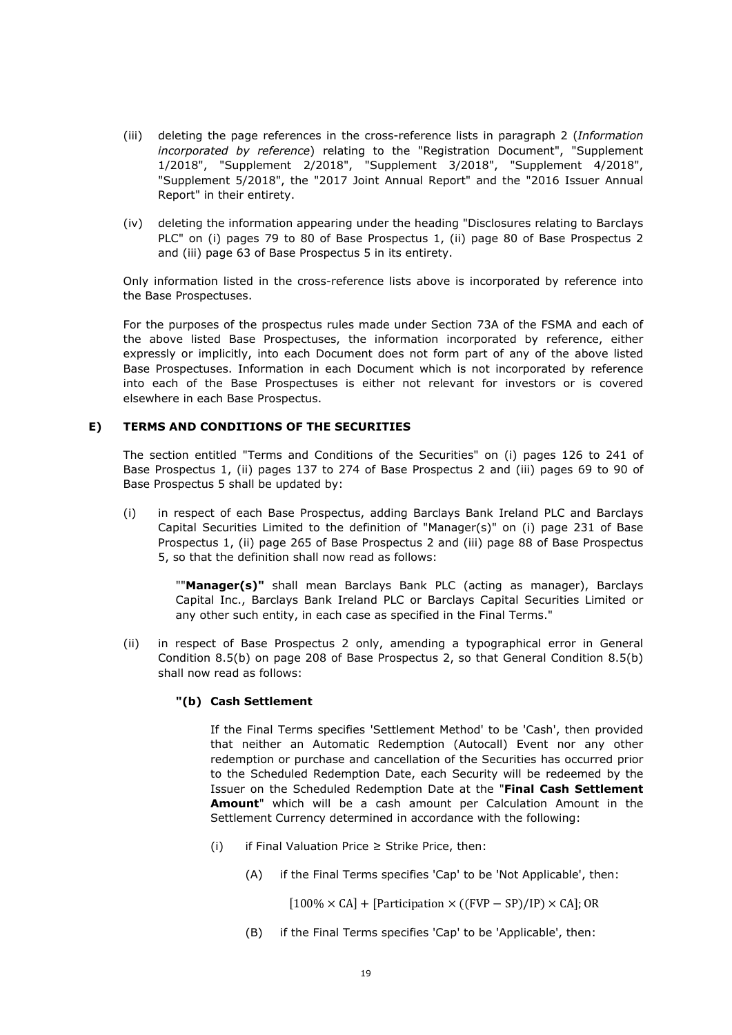- (iii) deleting the page references in the cross-reference lists in paragraph 2 (*Information incorporated by reference*) relating to the "Registration Document", "Supplement 1/2018", "Supplement 2/2018", "Supplement 3/2018", "Supplement 4/2018", "Supplement 5/2018", the "2017 Joint Annual Report" and the "2016 Issuer Annual Report" in their entirety.
- (iv) deleting the information appearing under the heading "Disclosures relating to Barclays PLC" on (i) pages 79 to 80 of Base Prospectus 1, (ii) page 80 of Base Prospectus 2 and (iii) page 63 of Base Prospectus 5 in its entirety.

Only information listed in the cross-reference lists above is incorporated by reference into the Base Prospectuses.

For the purposes of the prospectus rules made under Section 73A of the FSMA and each of the above listed Base Prospectuses, the information incorporated by reference, either expressly or implicitly, into each Document does not form part of any of the above listed Base Prospectuses. Information in each Document which is not incorporated by reference into each of the Base Prospectuses is either not relevant for investors or is covered elsewhere in each Base Prospectus.

## **E) TERMS AND CONDITIONS OF THE SECURITIES**

The section entitled "Terms and Conditions of the Securities" on (i) pages 126 to 241 of Base Prospectus 1, (ii) pages 137 to 274 of Base Prospectus 2 and (iii) pages 69 to 90 of Base Prospectus 5 shall be updated by:

(i) in respect of each Base Prospectus, adding Barclays Bank Ireland PLC and Barclays Capital Securities Limited to the definition of "Manager(s)" on (i) page 231 of Base Prospectus 1, (ii) page 265 of Base Prospectus 2 and (iii) page 88 of Base Prospectus 5, so that the definition shall now read as follows:

""**Manager(s)"** shall mean Barclays Bank PLC (acting as manager), Barclays Capital Inc., Barclays Bank Ireland PLC or Barclays Capital Securities Limited or any other such entity, in each case as specified in the Final Terms."

(ii) in respect of Base Prospectus 2 only, amending a typographical error in General Condition 8.5(b) on page 208 of Base Prospectus 2, so that General Condition 8.5(b) shall now read as follows:

## **"(b) Cash Settlement**

If the Final Terms specifies 'Settlement Method' to be 'Cash', then provided that neither an Automatic Redemption (Autocall) Event nor any other redemption or purchase and cancellation of the Securities has occurred prior to the Scheduled Redemption Date, each Security will be redeemed by the Issuer on the Scheduled Redemption Date at the "**Final Cash Settlement Amount**" which will be a cash amount per Calculation Amount in the Settlement Currency determined in accordance with the following:

- (i) if Final Valuation Price  $\geq$  Strike Price, then:
	- (A) if the Final Terms specifies 'Cap' to be 'Not Applicable', then:

 $[100\% \times CA] + [Participation \times ((FVP - SP)/IP) \times CA]$ ; OR

(B) if the Final Terms specifies 'Cap' to be 'Applicable', then: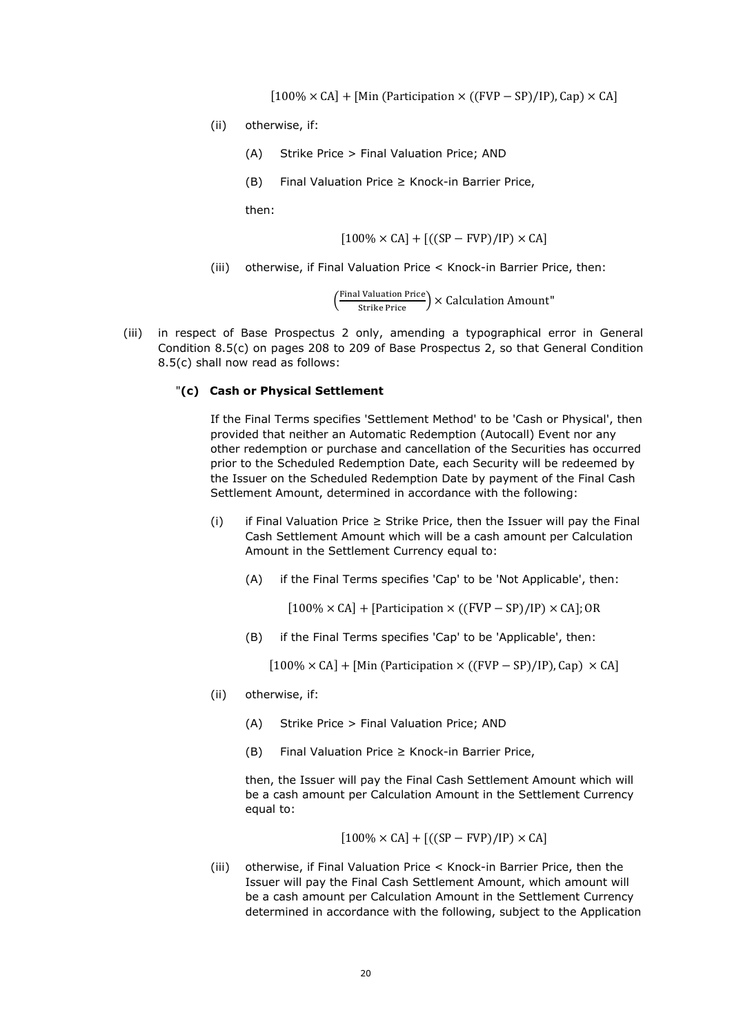$[100\% \times CA] + [Min (Participation \times ((FVP - SP)/IP), Cap) \times CA]$ 

- (ii) otherwise, if:
	- (A) Strike Price > Final Valuation Price; AND
	- (B) Final Valuation Price ≥ Knock-in Barrier Price,

then:

$$
[100\% \times CA] + [((SP - FVP)/IP) \times CA]
$$

(iii) otherwise, if Final Valuation Price < Knock-in Barrier Price, then:

 $\left(\frac{\text{Final valuation Price}}{\text{Strike Price}}\right)$  × Calculation Amount"

(iii) in respect of Base Prospectus 2 only, amending a typographical error in General Condition 8.5(c) on pages 208 to 209 of Base Prospectus 2, so that General Condition 8.5(c) shall now read as follows:

#### "**(c) Cash or Physical Settlement**

If the Final Terms specifies 'Settlement Method' to be 'Cash or Physical', then provided that neither an Automatic Redemption (Autocall) Event nor any other redemption or purchase and cancellation of the Securities has occurred prior to the Scheduled Redemption Date, each Security will be redeemed by the Issuer on the Scheduled Redemption Date by payment of the Final Cash Settlement Amount, determined in accordance with the following:

- (i) if Final Valuation Price  $\geq$  Strike Price, then the Issuer will pay the Final Cash Settlement Amount which will be a cash amount per Calculation Amount in the Settlement Currency equal to:
	- (A) if the Final Terms specifies 'Cap' to be 'Not Applicable', then:

 $[100\% \times CA]$  + [Participation × ((FVP – SP)/IP) × CA]; OR

(B) if the Final Terms specifies 'Cap' to be 'Applicable', then:

 $[100\% \times CA] + [Min (Participation \times ((FVP - SP)/IP), Cap) \times CA]$ 

- (ii) otherwise, if:
	- (A) Strike Price > Final Valuation Price; AND
	- (B) Final Valuation Price  $\geq$  Knock-in Barrier Price,

then, the Issuer will pay the Final Cash Settlement Amount which will be a cash amount per Calculation Amount in the Settlement Currency equal to:

$$
[100\% \times CA] + [((SP - FVP)/IP) \times CA]
$$

(iii) otherwise, if Final Valuation Price < Knock-in Barrier Price, then the Issuer will pay the Final Cash Settlement Amount, which amount will be a cash amount per Calculation Amount in the Settlement Currency determined in accordance with the following, subject to the Application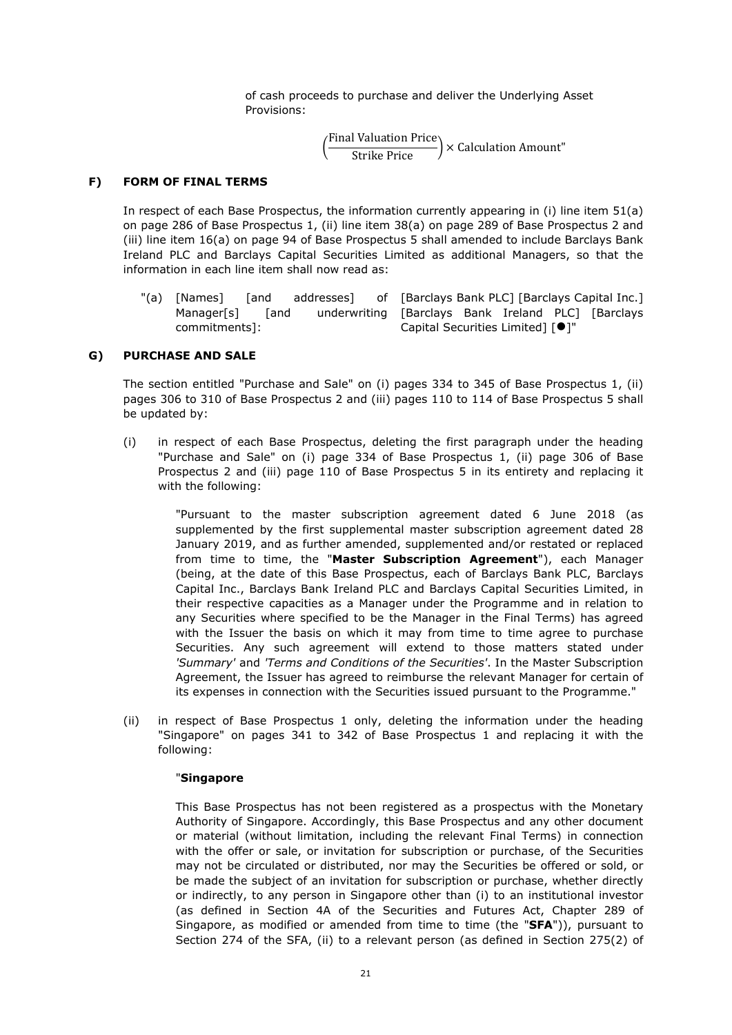of cash proceeds to purchase and deliver the Underlying Asset Provisions:

 $\left(\frac{\text{Final valuation Price}}{\text{Strike Price}}\right)$  × Calculation Amount"

#### **F) FORM OF FINAL TERMS**

In respect of each Base Prospectus, the information currently appearing in (i) line item 51(a) on page 286 of Base Prospectus 1, (ii) line item 38(a) on page 289 of Base Prospectus 2 and (iii) line item 16(a) on page 94 of Base Prospectus 5 shall amended to include Barclays Bank Ireland PLC and Barclays Capital Securities Limited as additional Managers, so that the information in each line item shall now read as:

"(a) [Names] [and addresses] Manager[s] [and underwriting [Barclays Bank Ireland PLC] [Barclays commitments]: of [Barclays Bank PLC] [Barclays Capital Inc.] Capital Securities Limited] [<sup>0</sup>]"

#### **G) PURCHASE AND SALE**

The section entitled "Purchase and Sale" on (i) pages 334 to 345 of Base Prospectus 1, (ii) pages 306 to 310 of Base Prospectus 2 and (iii) pages 110 to 114 of Base Prospectus 5 shall be updated by:

(i) in respect of each Base Prospectus, deleting the first paragraph under the heading "Purchase and Sale" on (i) page 334 of Base Prospectus 1, (ii) page 306 of Base Prospectus 2 and (iii) page 110 of Base Prospectus 5 in its entirety and replacing it with the following:

> "Pursuant to the master subscription agreement dated 6 June 2018 (as supplemented by the first supplemental master subscription agreement dated 28 January 2019, and as further amended, supplemented and/or restated or replaced from time to time, the "**Master Subscription Agreement**"), each Manager (being, at the date of this Base Prospectus, each of Barclays Bank PLC, Barclays Capital Inc., Barclays Bank Ireland PLC and Barclays Capital Securities Limited, in their respective capacities as a Manager under the Programme and in relation to any Securities where specified to be the Manager in the Final Terms) has agreed with the Issuer the basis on which it may from time to time agree to purchase Securities. Any such agreement will extend to those matters stated under *'Summary'* and *'Terms and Conditions of the Securities'*. In the Master Subscription Agreement, the Issuer has agreed to reimburse the relevant Manager for certain of its expenses in connection with the Securities issued pursuant to the Programme."

(ii) in respect of Base Prospectus 1 only, deleting the information under the heading "Singapore" on pages 341 to 342 of Base Prospectus 1 and replacing it with the following:

#### "**Singapore**

This Base Prospectus has not been registered as a prospectus with the Monetary Authority of Singapore. Accordingly, this Base Prospectus and any other document or material (without limitation, including the relevant Final Terms) in connection with the offer or sale, or invitation for subscription or purchase, of the Securities may not be circulated or distributed, nor may the Securities be offered or sold, or be made the subject of an invitation for subscription or purchase, whether directly or indirectly, to any person in Singapore other than (i) to an institutional investor (as defined in Section 4A of the Securities and Futures Act, Chapter 289 of Singapore, as modified or amended from time to time (the "**SFA**")), pursuant to Section 274 of the SFA, (ii) to a relevant person (as defined in Section 275(2) of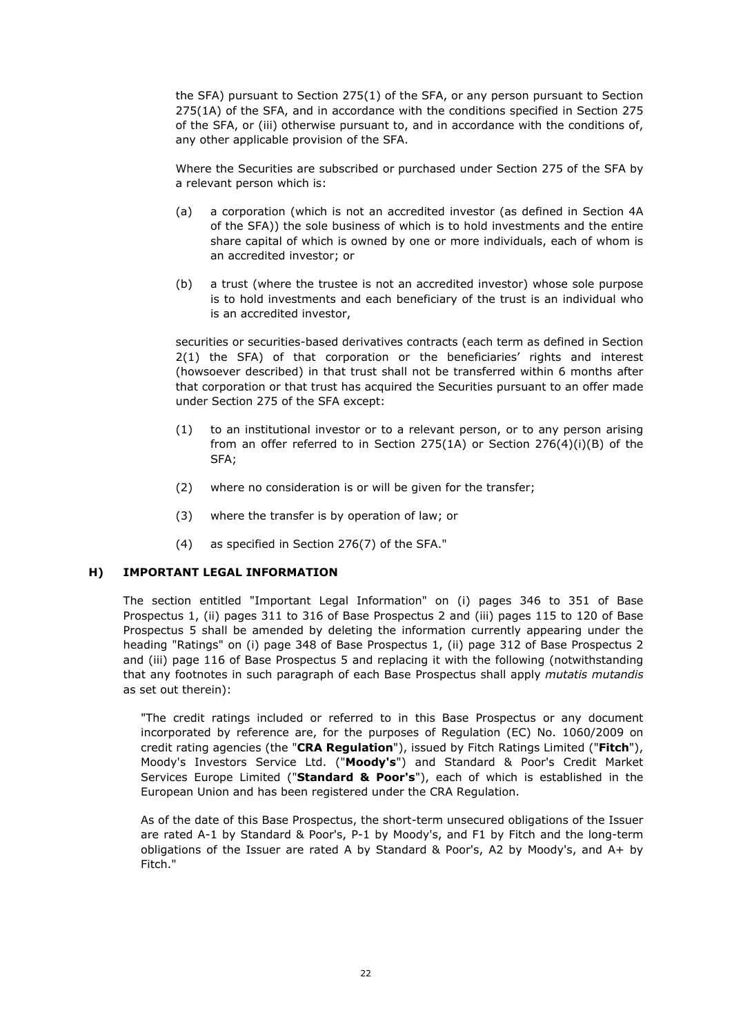the SFA) pursuant to Section 275(1) of the SFA, or any person pursuant to Section 275(1A) of the SFA, and in accordance with the conditions specified in Section 275 of the SFA, or (iii) otherwise pursuant to, and in accordance with the conditions of, any other applicable provision of the SFA.

Where the Securities are subscribed or purchased under Section 275 of the SFA by a relevant person which is:

- (a) a corporation (which is not an accredited investor (as defined in Section 4A of the SFA)) the sole business of which is to hold investments and the entire share capital of which is owned by one or more individuals, each of whom is an accredited investor; or
- (b) a trust (where the trustee is not an accredited investor) whose sole purpose is to hold investments and each beneficiary of the trust is an individual who is an accredited investor,

securities or securities-based derivatives contracts (each term as defined in Section 2(1) the SFA) of that corporation or the beneficiaries' rights and interest (howsoever described) in that trust shall not be transferred within 6 months after that corporation or that trust has acquired the Securities pursuant to an offer made under Section 275 of the SFA except:

- (1) to an institutional investor or to a relevant person, or to any person arising from an offer referred to in Section 275(1A) or Section 276(4)(i)(B) of the SFA;
- (2) where no consideration is or will be given for the transfer;
- (3) where the transfer is by operation of law; or
- (4) as specified in Section 276(7) of the SFA."

## **H) IMPORTANT LEGAL INFORMATION**

The section entitled "Important Legal Information" on (i) pages 346 to 351 of Base Prospectus 1, (ii) pages 311 to 316 of Base Prospectus 2 and (iii) pages 115 to 120 of Base Prospectus 5 shall be amended by deleting the information currently appearing under the heading "Ratings" on (i) page 348 of Base Prospectus 1, (ii) page 312 of Base Prospectus 2 and (iii) page 116 of Base Prospectus 5 and replacing it with the following (notwithstanding that any footnotes in such paragraph of each Base Prospectus shall apply *mutatis mutandis* as set out therein):

"The credit ratings included or referred to in this Base Prospectus or any document incorporated by reference are, for the purposes of Regulation (EC) No. 1060/2009 on credit rating agencies (the "**CRA Regulation**"), issued by Fitch Ratings Limited ("**Fitch**"), Moody's Investors Service Ltd. ("**Moody's**") and Standard & Poor's Credit Market Services Europe Limited ("**Standard & Poor's**"), each of which is established in the European Union and has been registered under the CRA Regulation.

As of the date of this Base Prospectus, the short-term unsecured obligations of the Issuer are rated A-1 by Standard & Poor's, P-1 by Moody's, and F1 by Fitch and the long-term obligations of the Issuer are rated A by Standard & Poor's, A2 by Moody's, and A+ by Fitch."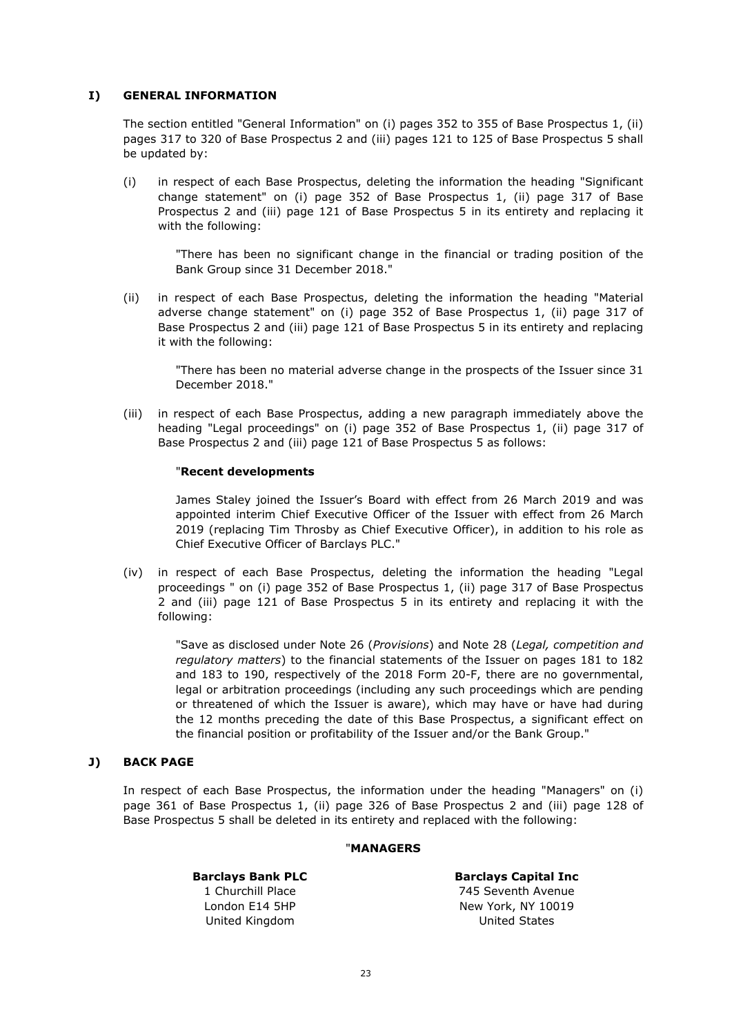## **I) GENERAL INFORMATION**

The section entitled "General Information" on (i) pages 352 to 355 of Base Prospectus 1, (ii) pages 317 to 320 of Base Prospectus 2 and (iii) pages 121 to 125 of Base Prospectus 5 shall be updated by:

(i) in respect of each Base Prospectus, deleting the information the heading "Significant change statement" on (i) page 352 of Base Prospectus 1, (ii) page 317 of Base Prospectus 2 and (iii) page 121 of Base Prospectus 5 in its entirety and replacing it with the following:

"There has been no significant change in the financial or trading position of the Bank Group since 31 December 2018."

(ii) in respect of each Base Prospectus, deleting the information the heading "Material adverse change statement" on (i) page 352 of Base Prospectus 1, (ii) page 317 of Base Prospectus 2 and (iii) page 121 of Base Prospectus 5 in its entirety and replacing it with the following:

"There has been no material adverse change in the prospects of the Issuer since 31 December 2018."

(iii) in respect of each Base Prospectus, adding a new paragraph immediately above the heading "Legal proceedings" on (i) page 352 of Base Prospectus 1, (ii) page 317 of Base Prospectus 2 and (iii) page 121 of Base Prospectus 5 as follows:

## "**Recent developments**

James Staley joined the Issuer's Board with effect from 26 March 2019 and was appointed interim Chief Executive Officer of the Issuer with effect from 26 March 2019 (replacing Tim Throsby as Chief Executive Officer), in addition to his role as Chief Executive Officer of Barclays PLC."

(iv) in respect of each Base Prospectus, deleting the information the heading "Legal proceedings " on (i) page 352 of Base Prospectus 1, (ii) page 317 of Base Prospectus 2 and (iii) page 121 of Base Prospectus 5 in its entirety and replacing it with the following:

"Save as disclosed under Note 26 (*Provisions*) and Note 28 (*Legal, competition and regulatory matters*) to the financial statements of the Issuer on pages 181 to 182 and 183 to 190, respectively of the 2018 Form 20-F, there are no governmental, legal or arbitration proceedings (including any such proceedings which are pending or threatened of which the Issuer is aware), which may have or have had during the 12 months preceding the date of this Base Prospectus, a significant effect on the financial position or profitability of the Issuer and/or the Bank Group."

## **J) BACK PAGE**

In respect of each Base Prospectus, the information under the heading "Managers" on (i) page 361 of Base Prospectus 1, (ii) page 326 of Base Prospectus 2 and (iii) page 128 of Base Prospectus 5 shall be deleted in its entirety and replaced with the following:

## "**MANAGERS**

## **Barclays Bank PLC**

1 Churchill Place London E14 5HP United Kingdom

**Barclays Capital Inc** 745 Seventh Avenue New York, NY 10019 United States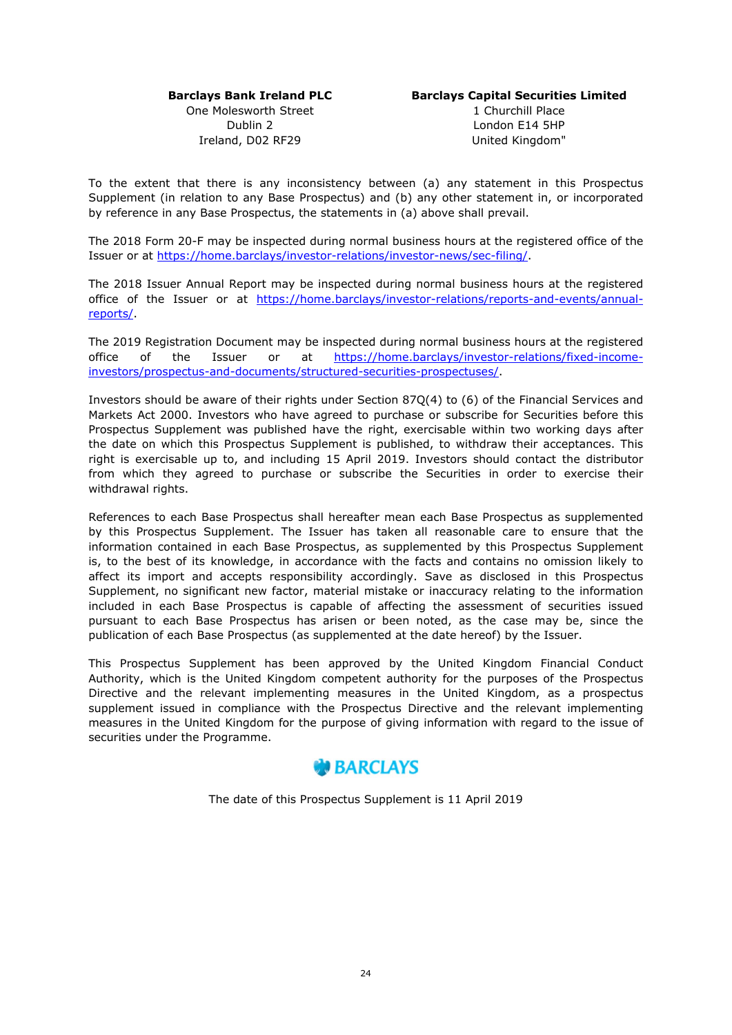## **Barclays Bank Ireland PLC**

One Molesworth Street Dublin 2 Ireland, D02 RF29

# **Barclays Capital Securities Limited**

1 Churchill Place London E14 5HP United Kingdom"

To the extent that there is any inconsistency between (a) any statement in this Prospectus Supplement (in relation to any Base Prospectus) and (b) any other statement in, or incorporated by reference in any Base Prospectus, the statements in (a) above shall prevail.

The 2018 Form 20-F may be inspected during normal business hours at the registered office of the Issuer or at <https://home.barclays/investor-relations/investor-news/sec-filing/>.

The 2018 Issuer Annual Report may be inspected during normal business hours at the registered [office of the Issuer or at https://home.barclays/investor-relations/reports-and-events/annual](https://home.barclays/investor-relations/reports-and-events/annual-reports/)reports/.

The 2019 Registration Document may be inspected during normal business hours at the registered [office of the Issuer or at https://home.barclays/investor-relations/fixed-income](https://home.barclays/investor-relations/fixed-income-investors/prospectus-and-documents/structured-securities-prospectuses/)investors/prospectus-and-documents/structured-securities-prospectuses/.

Investors should be aware of their rights under Section 87Q(4) to (6) of the Financial Services and Markets Act 2000. Investors who have agreed to purchase or subscribe for Securities before this Prospectus Supplement was published have the right, exercisable within two working days after the date on which this Prospectus Supplement is published, to withdraw their acceptances. This right is exercisable up to, and including 15 April 2019. Investors should contact the distributor from which they agreed to purchase or subscribe the Securities in order to exercise their withdrawal rights.

References to each Base Prospectus shall hereafter mean each Base Prospectus as supplemented by this Prospectus Supplement. The Issuer has taken all reasonable care to ensure that the information contained in each Base Prospectus, as supplemented by this Prospectus Supplement is, to the best of its knowledge, in accordance with the facts and contains no omission likely to affect its import and accepts responsibility accordingly. Save as disclosed in this Prospectus Supplement, no significant new factor, material mistake or inaccuracy relating to the information included in each Base Prospectus is capable of affecting the assessment of securities issued pursuant to each Base Prospectus has arisen or been noted, as the case may be, since the publication of each Base Prospectus (as supplemented at the date hereof) by the Issuer.

This Prospectus Supplement has been approved by the United Kingdom Financial Conduct Authority, which is the United Kingdom competent authority for the purposes of the Prospectus Directive and the relevant implementing measures in the United Kingdom, as a prospectus supplement issued in compliance with the Prospectus Directive and the relevant implementing measures in the United Kingdom for the purpose of giving information with regard to the issue of securities under the Programme.



The date of this Prospectus Supplement is 11 April 2019